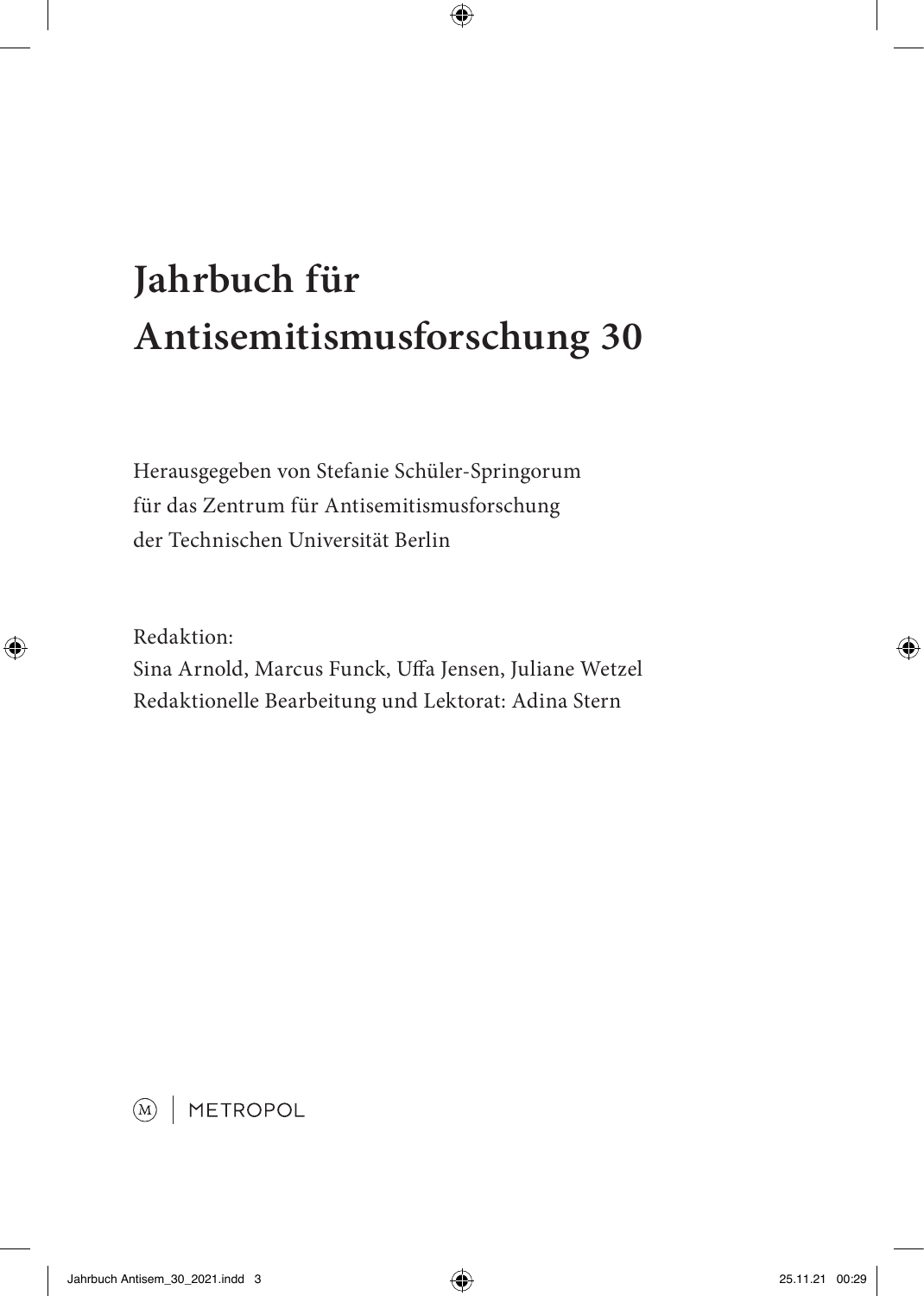# **Jahrbuch für Antisemitismusforschung 30**

Herausgegeben von Stefanie Schüler-Springorum für das Zentrum für Antisemitismusforschung der Technischen Universität Berlin

Redaktion: Sina Arnold, Marcus Funck, Uffa Jensen, Juliane Wetzel Redaktionelle Bearbeitung und Lektorat: Adina Stern

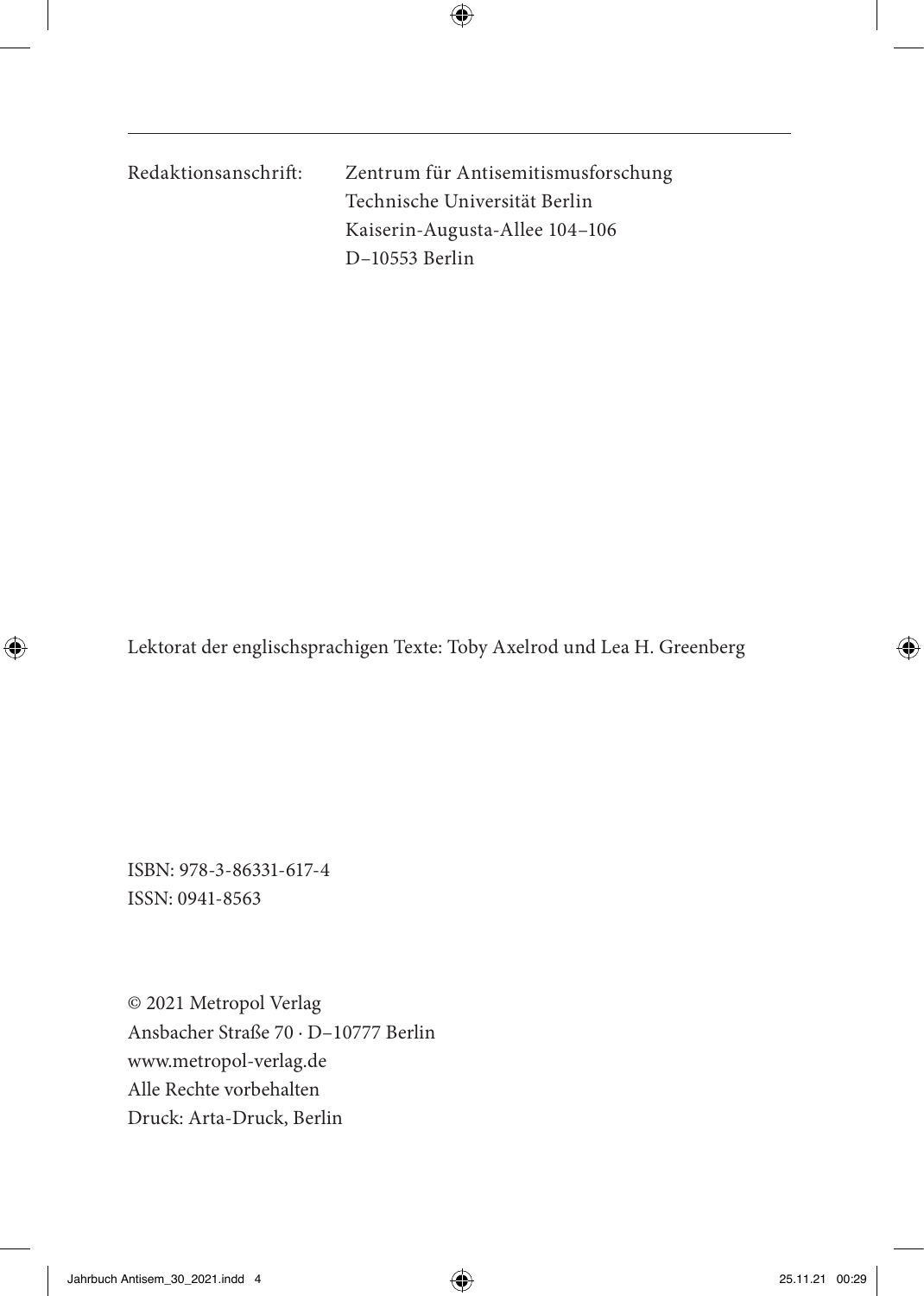Redaktionsanschrift: Zentrum für Antisemitismusforschung Technische Universität Berlin Kaiserin-Augusta-Allee 104–106 D–10553 Berlin

Lektorat der englischsprachigen Texte: Toby Axelrod und Lea H. Greenberg

ISBN: 978-3-86331-617-4 ISSN: 0941-8563

© 2021 Metropol Verlag Ansbacher Straße 70 · D–10777 Berlin www.metropol-verlag.de Alle Rechte vorbehalten Druck: Arta-Druck, Berlin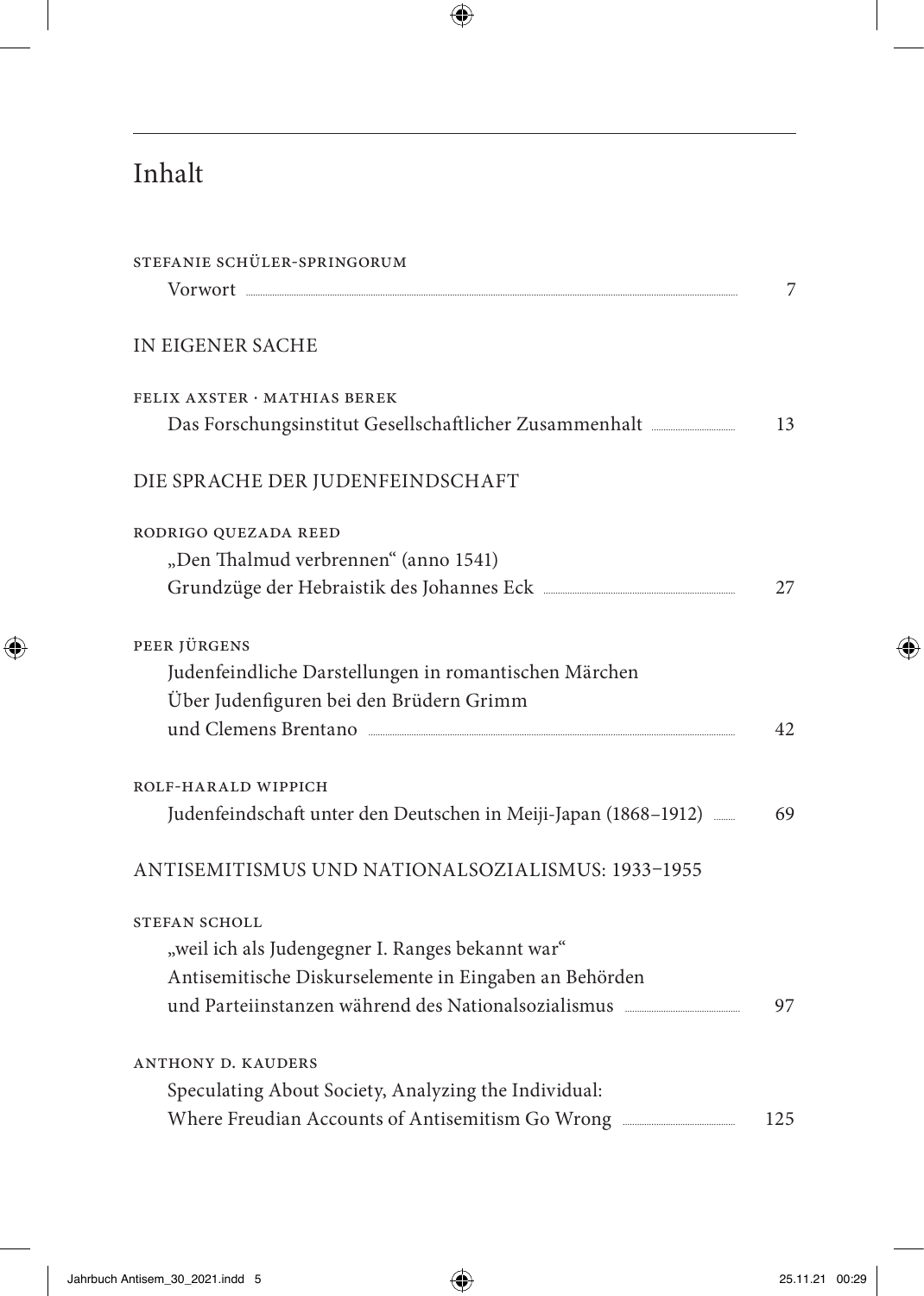## Inhalt

| STEFANIE SCHÜLER-SPRINGORUM                                     |     |
|-----------------------------------------------------------------|-----|
|                                                                 | 7   |
| IN EIGENER SACHE                                                |     |
| FELIX AXSTER · MATHIAS BEREK                                    |     |
|                                                                 | 13  |
| DIE SPRACHE DER JUDENFEINDSCHAFT                                |     |
| RODRIGO QUEZADA REED                                            |     |
| "Den Thalmud verbrennen" (anno 1541)                            |     |
|                                                                 | 27  |
| PEER JÜRGENS                                                    |     |
| Judenfeindliche Darstellungen in romantischen Märchen           |     |
| Über Judenfiguren bei den Brüdern Grimm                         |     |
| und Clemens Brentano                                            | 42  |
| ROLF-HARALD WIPPICH                                             |     |
| Judenfeindschaft unter den Deutschen in Meiji-Japan (1868-1912) | 69  |
| ANTISEMITISMUS UND NATIONALSOZIALISMUS: 1933-1955               |     |
| <b>STEFAN SCHOLL</b>                                            |     |
| "weil ich als Judengegner I. Ranges bekannt war"                |     |
| Antisemitische Diskurselemente in Eingaben an Behörden          |     |
| und Parteiinstanzen während des Nationalsozialismus             | 97  |
| <b>ANTHONY D. KAUDERS</b>                                       |     |
| Speculating About Society, Analyzing the Individual:            |     |
|                                                                 | 125 |
|                                                                 |     |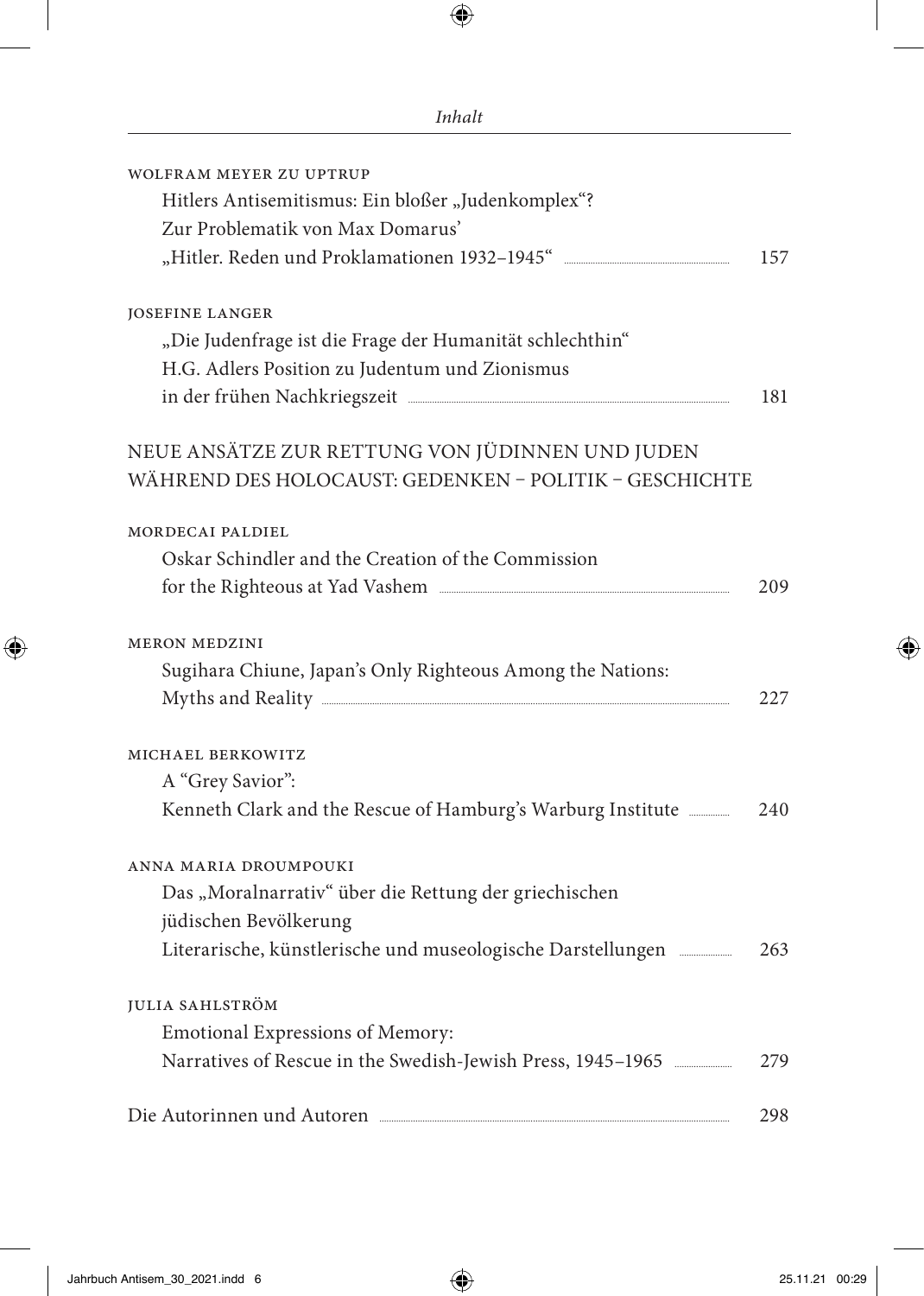| WOLFRAM MEYER ZU UPTRUP                                                                                                                                                                                                             |     |
|-------------------------------------------------------------------------------------------------------------------------------------------------------------------------------------------------------------------------------------|-----|
| Hitlers Antisemitismus: Ein bloßer "Judenkomplex"?                                                                                                                                                                                  |     |
| Zur Problematik von Max Domarus'                                                                                                                                                                                                    |     |
|                                                                                                                                                                                                                                     | 157 |
| <b>JOSEFINE LANGER</b>                                                                                                                                                                                                              |     |
| "Die Judenfrage ist die Frage der Humanität schlechthin"                                                                                                                                                                            |     |
| H.G. Adlers Position zu Judentum und Zionismus                                                                                                                                                                                      |     |
| in der frühen Nachkriegszeit Mathanien aus an der frühen Nachkriegszeit                                                                                                                                                             | 181 |
| NEUE ANSÄTZE ZUR RETTUNG VON JÜDINNEN UND JUDEN                                                                                                                                                                                     |     |
| WÄHREND DES HOLOCAUST: GEDENKEN - POLITIK - GESCHICHTE                                                                                                                                                                              |     |
| MORDECAI PALDIEL                                                                                                                                                                                                                    |     |
| Oskar Schindler and the Creation of the Commission                                                                                                                                                                                  |     |
| for the Righteous at Yad Vashem                                                                                                                                                                                                     | 209 |
| <b>MERON MEDZINI</b>                                                                                                                                                                                                                |     |
| Sugihara Chiune, Japan's Only Righteous Among the Nations:                                                                                                                                                                          |     |
|                                                                                                                                                                                                                                     | 227 |
| MICHAEL BERKOWITZ                                                                                                                                                                                                                   |     |
| A "Grey Savior":                                                                                                                                                                                                                    |     |
|                                                                                                                                                                                                                                     | 240 |
| ANNA MARIA DROUMPOUKI                                                                                                                                                                                                               |     |
| Das "Moralnarrativ" über die Rettung der griechischen                                                                                                                                                                               |     |
| jüdischen Bevölkerung                                                                                                                                                                                                               |     |
| Literarische, künstlerische und museologische Darstellungen                                                                                                                                                                         | 263 |
| <b>IULIA SAHLSTRÖM</b>                                                                                                                                                                                                              |     |
| Emotional Expressions of Memory:                                                                                                                                                                                                    |     |
| Narratives of Rescue in the Swedish-Jewish Press, 1945-1965                                                                                                                                                                         | 279 |
| Die Autorinnen und Autoren <b>Einer aus and Autoren</b> and Autoren and Autoren and Autoren and Autoren and Autoren and Autoren and Autoren and Autoren and Autoren and Autoren and Autoren and Autoren and Autoren and Autoren and | 298 |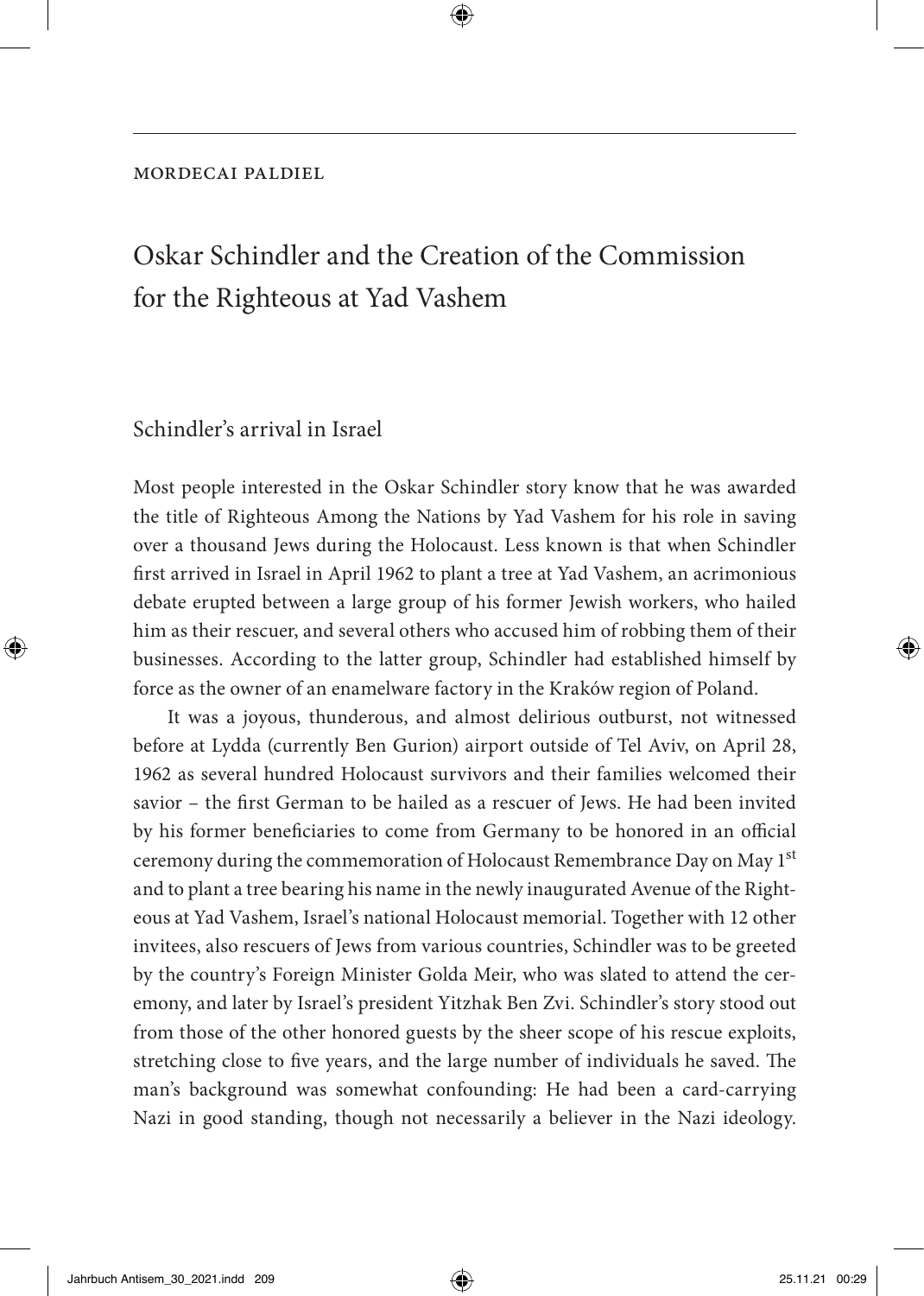#### mordecai paldiel

### Oskar Schindler and the Creation of the Commission for the Righteous at Yad Vashem

#### Schindler's arrival in Israel

Most people interested in the Oskar Schindler story know that he was awarded the title of Righteous Among the Nations by Yad Vashem for his role in saving over a thousand Jews during the Holocaust. Less known is that when Schindler first arrived in Israel in April 1962 to plant a tree at Yad Vashem, an acrimonious debate erupted between a large group of his former Jewish workers, who hailed him as their rescuer, and several others who accused him of robbing them of their businesses. According to the latter group, Schindler had established himself by force as the owner of an enamelware factory in the Kraków region of Poland.

It was a joyous, thunderous, and almost delirious outburst, not witnessed before at Lydda (currently Ben Gurion) airport outside of Tel Aviv, on April 28, 1962 as several hundred Holocaust survivors and their families welcomed their savior – the first German to be hailed as a rescuer of Jews. He had been invited by his former beneficiaries to come from Germany to be honored in an official ceremony during the commemoration of Holocaust Remembrance Day on May 1<sup>st</sup> and to plant a tree bearing his name in the newly inaugurated Avenue of the Righteous at Yad Vashem, Israel's national Holocaust memorial. Together with 12 other invitees, also rescuers of Jews from various countries, Schindler was to be greeted by the country's Foreign Minister Golda Meir, who was slated to attend the ceremony, and later by Israel's president Yitzhak Ben Zvi. Schindler's story stood out from those of the other honored guests by the sheer scope of his rescue exploits, stretching close to five years, and the large number of individuals he saved. The man's background was somewhat confounding: He had been a card-carrying Nazi in good standing, though not necessarily a believer in the Nazi ideology.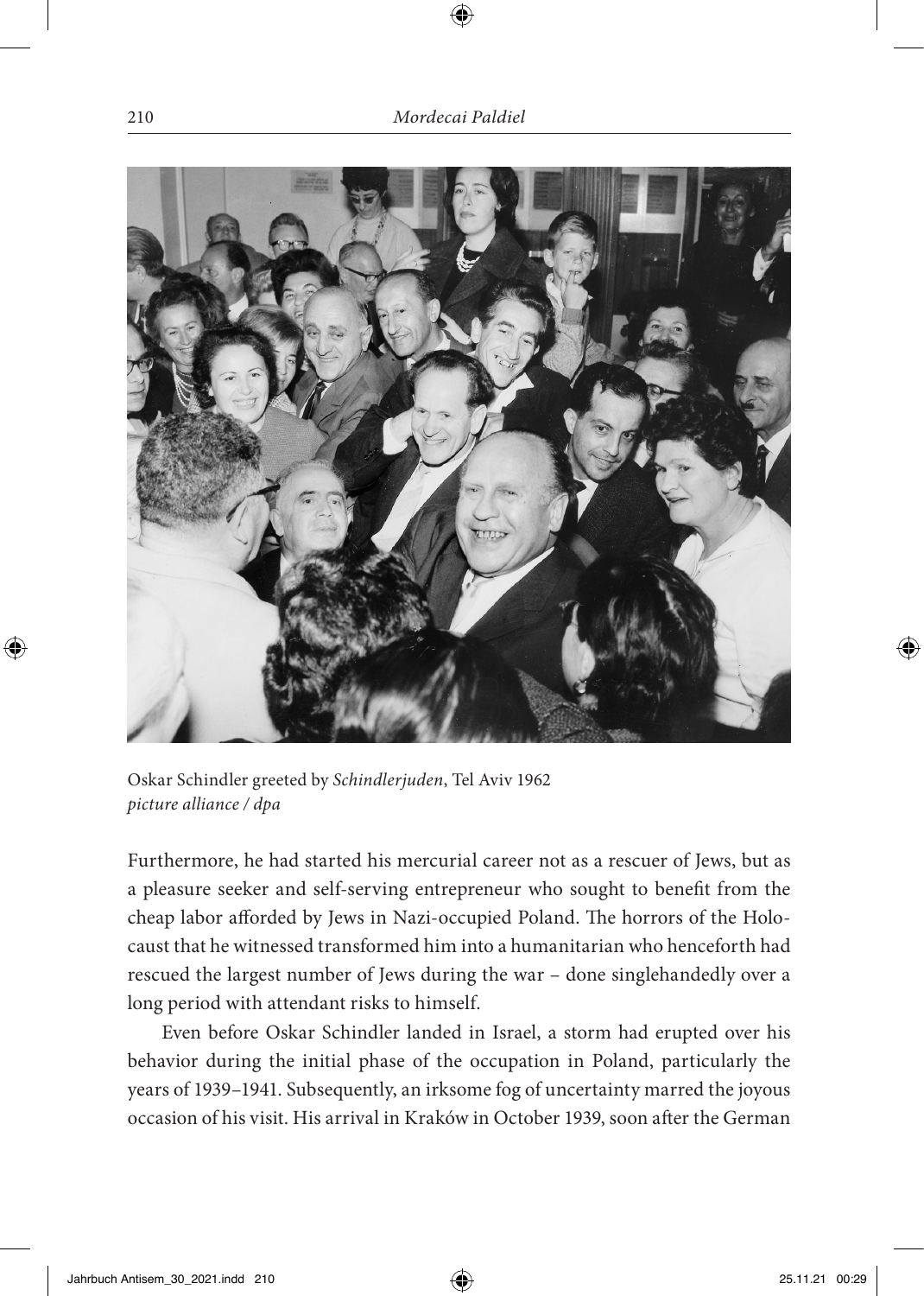

Oskar Schindler greeted by *Schindlerjuden*, Tel Aviv 1962 *picture alliance / dpa*

Furthermore, he had started his mercurial career not as a rescuer of Jews, but as a pleasure seeker and self-serving entrepreneur who sought to benefit from the cheap labor afforded by Jews in Nazi-occupied Poland. The horrors of the Holocaust that he witnessed transformed him into a humanitarian who henceforth had rescued the largest number of Jews during the war – done singlehandedly over a long period with attendant risks to himself.

Even before Oskar Schindler landed in Israel, a storm had erupted over his behavior during the initial phase of the occupation in Poland, particularly the years of 1939–1941. Subsequently, an irksome fog of uncertainty marred the joyous occasion of his visit. His arrival in Kraków in October 1939, soon after the German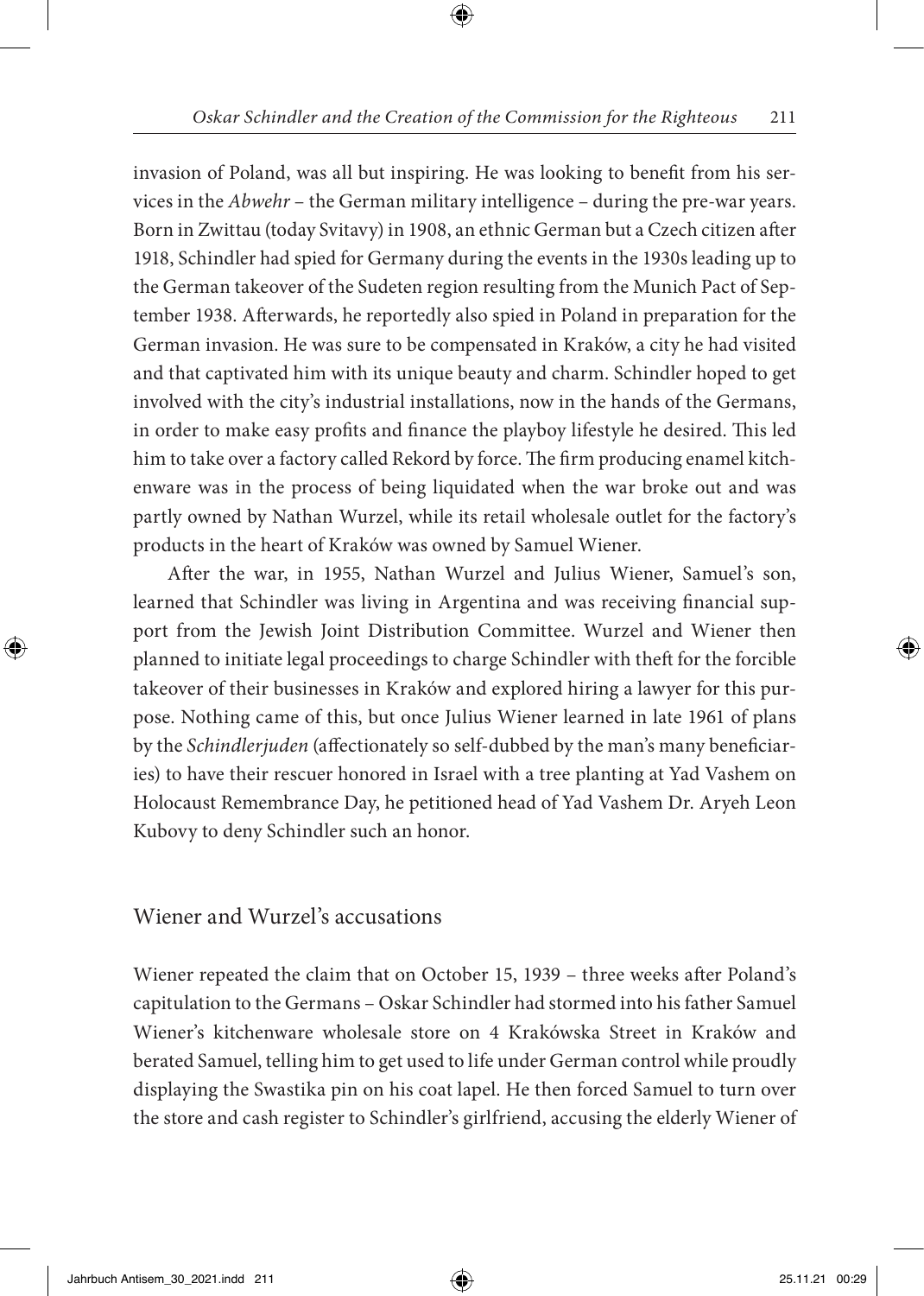invasion of Poland, was all but inspiring. He was looking to benefit from his services in the *Abwehr* – the German military intelligence – during the pre-war years. Born in Zwittau (today Svitavy) in 1908, an ethnic German but a Czech citizen after 1918, Schindler had spied for Germany during the events in the 1930s leading up to the German takeover of the Sudeten region resulting from the Munich Pact of September 1938. Afterwards, he reportedly also spied in Poland in preparation for the German invasion. He was sure to be compensated in Kraków, a city he had visited and that captivated him with its unique beauty and charm. Schindler hoped to get involved with the city's industrial installations, now in the hands of the Germans, in order to make easy profits and finance the playboy lifestyle he desired. This led him to take over a factory called Rekord by force. The firm producing enamel kitchenware was in the process of being liquidated when the war broke out and was partly owned by Nathan Wurzel, while its retail wholesale outlet for the factory's products in the heart of Kraków was owned by Samuel Wiener.

After the war, in 1955, Nathan Wurzel and Julius Wiener, Samuel's son, learned that Schindler was living in Argentina and was receiving financial support from the Jewish Joint Distribution Committee. Wurzel and Wiener then planned to initiate legal proceedings to charge Schindler with theft for the forcible takeover of their businesses in Kraków and explored hiring a lawyer for this purpose. Nothing came of this, but once Julius Wiener learned in late 1961 of plans by the *Schindlerjuden* (affectionately so self-dubbed by the man's many beneficiaries) to have their rescuer honored in Israel with a tree planting at Yad Vashem on Holocaust Remembrance Day, he petitioned head of Yad Vashem Dr. Aryeh Leon Kubovy to deny Schindler such an honor.

Wiener and Wurzel's accusations

Wiener repeated the claim that on October 15, 1939 – three weeks after Poland's capitulation to the Germans – Oskar Schindler had stormed into his father Samuel Wiener's kitchenware wholesale store on 4 Krakówska Street in Kraków and berated Samuel, telling him to get used to life under German control while proudly displaying the Swastika pin on his coat lapel. He then forced Samuel to turn over the store and cash register to Schindler's girlfriend, accusing the elderly Wiener of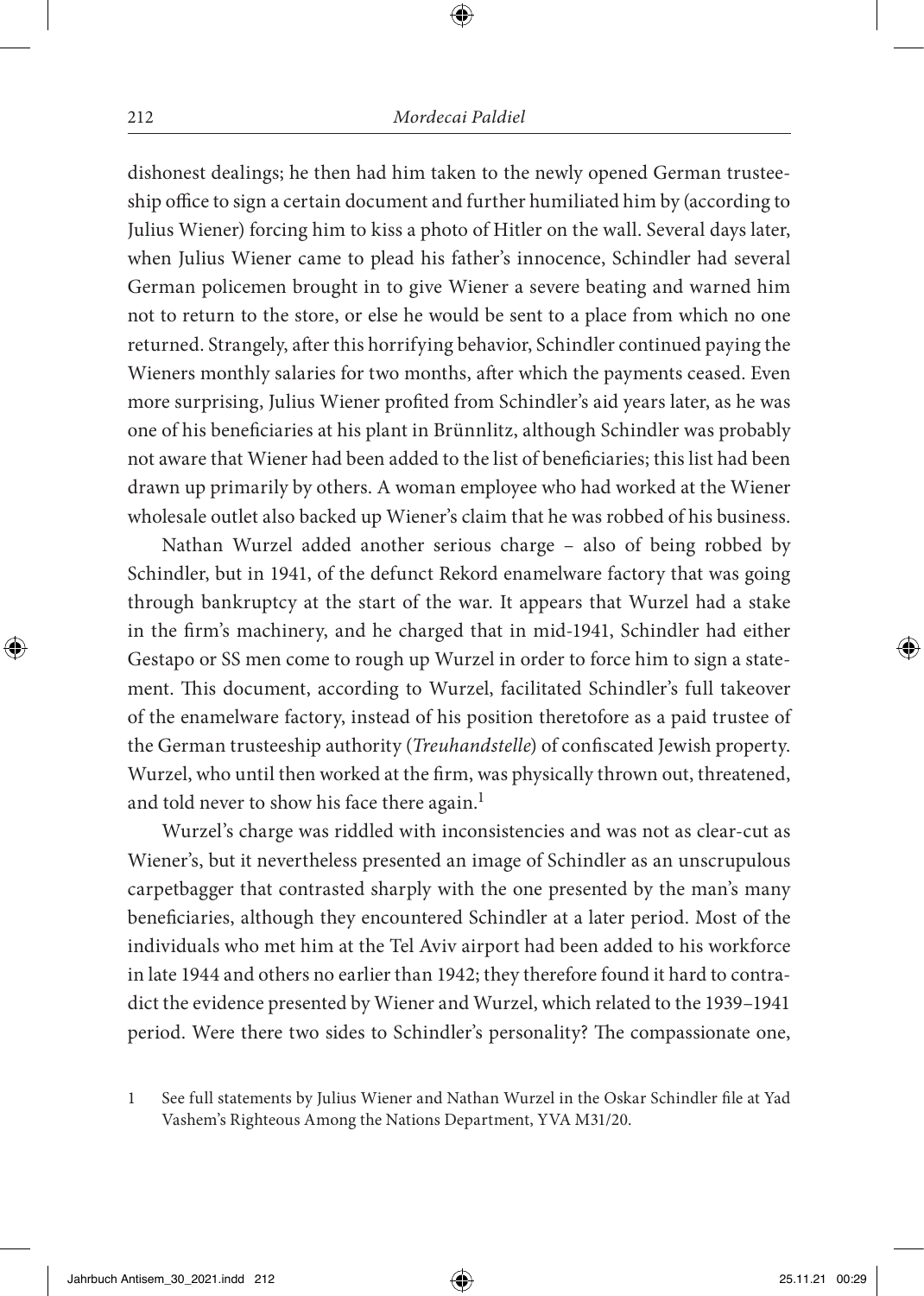dishonest dealings; he then had him taken to the newly opened German trusteeship office to sign a certain document and further humiliated him by (according to Julius Wiener) forcing him to kiss a photo of Hitler on the wall. Several days later, when Julius Wiener came to plead his father's innocence, Schindler had several German policemen brought in to give Wiener a severe beating and warned him not to return to the store, or else he would be sent to a place from which no one returned. Strangely, after this horrifying behavior, Schindler continued paying the Wieners monthly salaries for two months, after which the payments ceased. Even more surprising, Julius Wiener profited from Schindler's aid years later, as he was one of his beneficiaries at his plant in Brünnlitz, although Schindler was probably not aware that Wiener had been added to the list of beneficiaries; this list had been drawn up primarily by others. A woman employee who had worked at the Wiener wholesale outlet also backed up Wiener's claim that he was robbed of his business.

Nathan Wurzel added another serious charge – also of being robbed by Schindler, but in 1941, of the defunct Rekord enamelware factory that was going through bankruptcy at the start of the war. It appears that Wurzel had a stake in the firm's machinery, and he charged that in mid-1941, Schindler had either Gestapo or SS men come to rough up Wurzel in order to force him to sign a statement. This document, according to Wurzel, facilitated Schindler's full takeover of the enamelware factory, instead of his position theretofore as a paid trustee of the German trusteeship authority (*Treuhandstelle*) of confiscated Jewish property. Wurzel, who until then worked at the firm, was physically thrown out, threatened, and told never to show his face there again.<sup>1</sup>

Wurzel's charge was riddled with inconsistencies and was not as clear-cut as Wiener's, but it nevertheless presented an image of Schindler as an unscrupulous carpetbagger that contrasted sharply with the one presented by the man's many beneficiaries, although they encountered Schindler at a later period. Most of the individuals who met him at the Tel Aviv airport had been added to his workforce in late 1944 and others no earlier than 1942; they therefore found it hard to contradict the evidence presented by Wiener and Wurzel, which related to the 1939–1941 period. Were there two sides to Schindler's personality? The compassionate one,

<sup>1</sup> See full statements by Julius Wiener and Nathan Wurzel in the Oskar Schindler file at Yad Vashem's Righteous Among the Nations Department, YVA M31/20.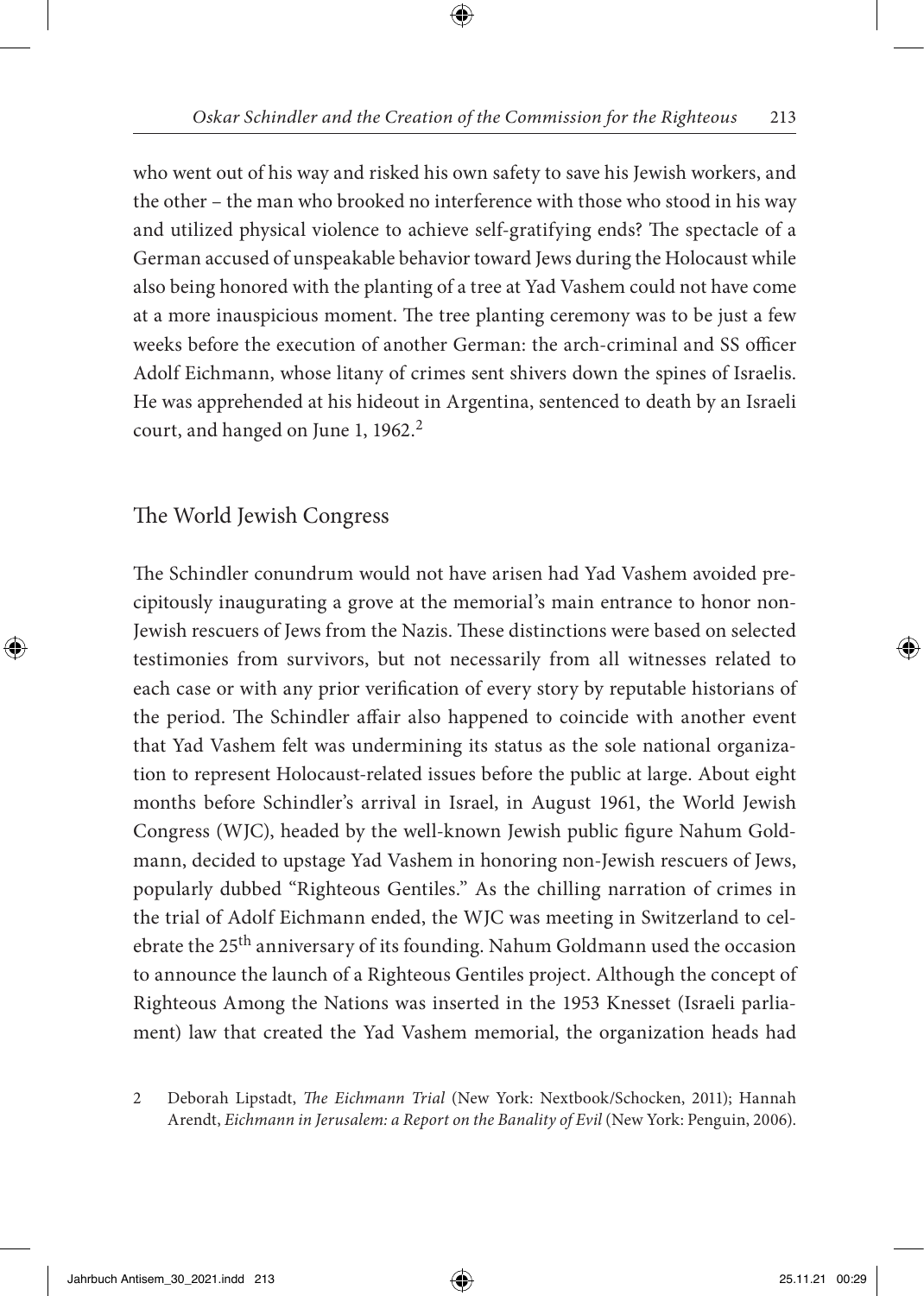who went out of his way and risked his own safety to save his Jewish workers, and the other – the man who brooked no interference with those who stood in his way and utilized physical violence to achieve self-gratifying ends? The spectacle of a German accused of unspeakable behavior toward Jews during the Holocaust while also being honored with the planting of a tree at Yad Vashem could not have come at a more inauspicious moment. The tree planting ceremony was to be just a few weeks before the execution of another German: the arch-criminal and SS officer Adolf Eichmann, whose litany of crimes sent shivers down the spines of Israelis. He was apprehended at his hideout in Argentina, sentenced to death by an Israeli court, and hanged on June 1, 1962.<sup>2</sup>

#### The World Jewish Congress

The Schindler conundrum would not have arisen had Yad Vashem avoided precipitously inaugurating a grove at the memorial's main entrance to honor non-Jewish rescuers of Jews from the Nazis. These distinctions were based on selected testimonies from survivors, but not necessarily from all witnesses related to each case or with any prior verification of every story by reputable historians of the period. The Schindler affair also happened to coincide with another event that Yad Vashem felt was undermining its status as the sole national organization to represent Holocaust-related issues before the public at large. About eight months before Schindler's arrival in Israel, in August 1961, the World Jewish Congress (WJC), headed by the well-known Jewish public figure Nahum Goldmann, decided to upstage Yad Vashem in honoring non-Jewish rescuers of Jews, popularly dubbed "Righteous Gentiles." As the chilling narration of crimes in the trial of Adolf Eichmann ended, the WJC was meeting in Switzerland to celebrate the 25<sup>th</sup> anniversary of its founding. Nahum Goldmann used the occasion to announce the launch of a Righteous Gentiles project. Although the concept of Righteous Among the Nations was inserted in the 1953 Knesset (Israeli parliament) law that created the Yad Vashem memorial, the organization heads had

2 Deborah Lipstadt, *The Eichmann Trial* (New York: Nextbook/Schocken, 2011); Hannah Arendt, *Eichmann in Jerusalem: a Report on the Banality of Evil* (New York: Penguin, 2006).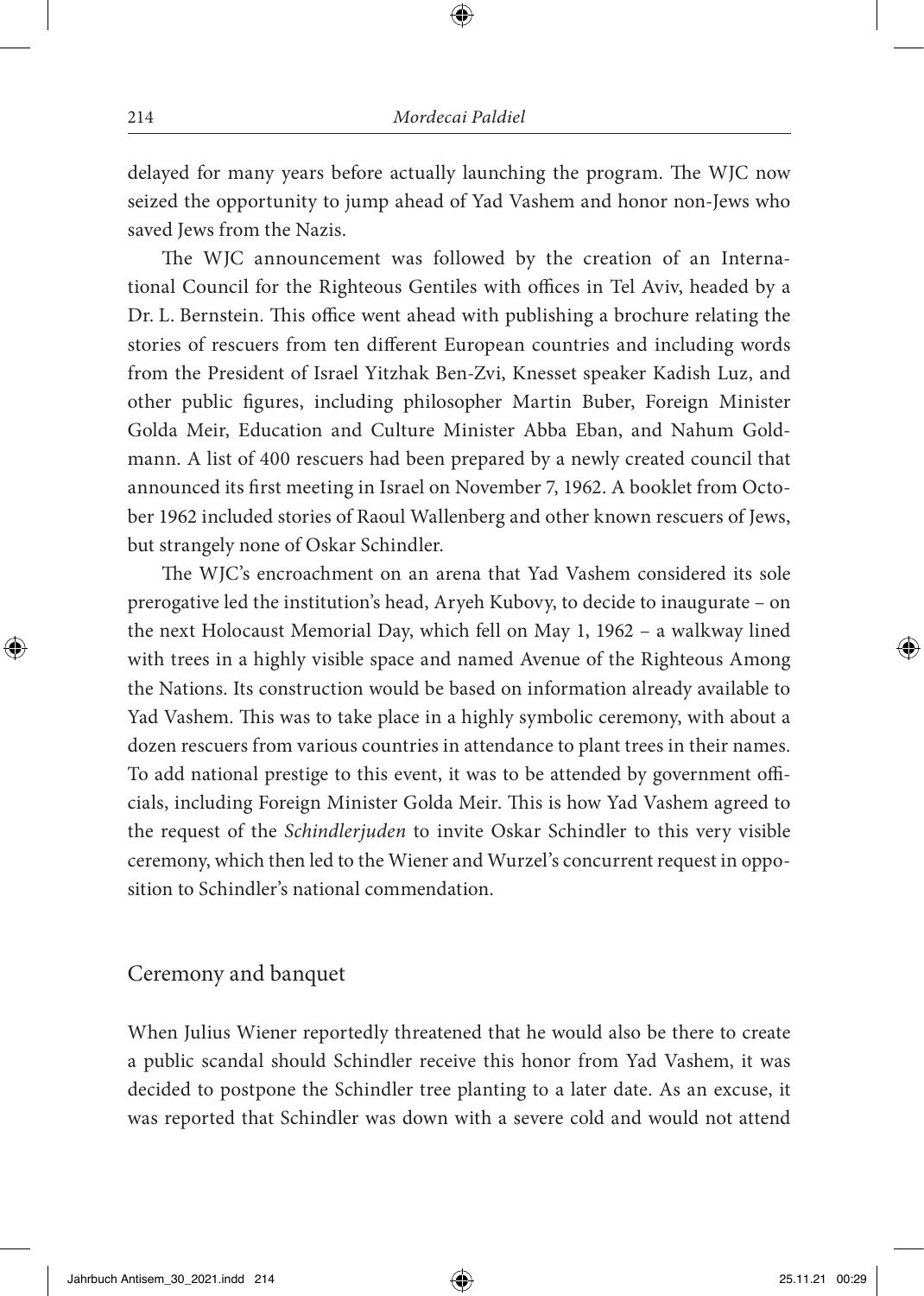delayed for many years before actually launching the program. The WJC now seized the opportunity to jump ahead of Yad Vashem and honor non-Jews who saved Jews from the Nazis.

The WJC announcement was followed by the creation of an International Council for the Righteous Gentiles with offices in Tel Aviv, headed by a Dr. L. Bernstein. This office went ahead with publishing a brochure relating the stories of rescuers from ten different European countries and including words from the President of Israel Yitzhak Ben-Zvi, Knesset speaker Kadish Luz, and other public figures, including philosopher Martin Buber, Foreign Minister Golda Meir, Education and Culture Minister Abba Eban, and Nahum Goldmann. A list of 400 rescuers had been prepared by a newly created council that announced its first meeting in Israel on November 7, 1962. A booklet from October 1962 included stories of Raoul Wallenberg and other known rescuers of Jews, but strangely none of Oskar Schindler.

The WJC's encroachment on an arena that Yad Vashem considered its sole prerogative led the institution's head, Aryeh Kubovy, to decide to inaugurate – on the next Holocaust Memorial Day, which fell on May 1, 1962 – a walkway lined with trees in a highly visible space and named Avenue of the Righteous Among the Nations. Its construction would be based on information already available to Yad Vashem. This was to take place in a highly symbolic ceremony, with about a dozen rescuers from various countries in attendance to plant trees in their names. To add national prestige to this event, it was to be attended by government officials, including Foreign Minister Golda Meir. This is how Yad Vashem agreed to the request of the *Schindlerjuden* to invite Oskar Schindler to this very visible ceremony, which then led to the Wiener and Wurzel's concurrent request in opposition to Schindler's national commendation.

#### Ceremony and banquet

When Julius Wiener reportedly threatened that he would also be there to create a public scandal should Schindler receive this honor from Yad Vashem, it was decided to postpone the Schindler tree planting to a later date. As an excuse, it was reported that Schindler was down with a severe cold and would not attend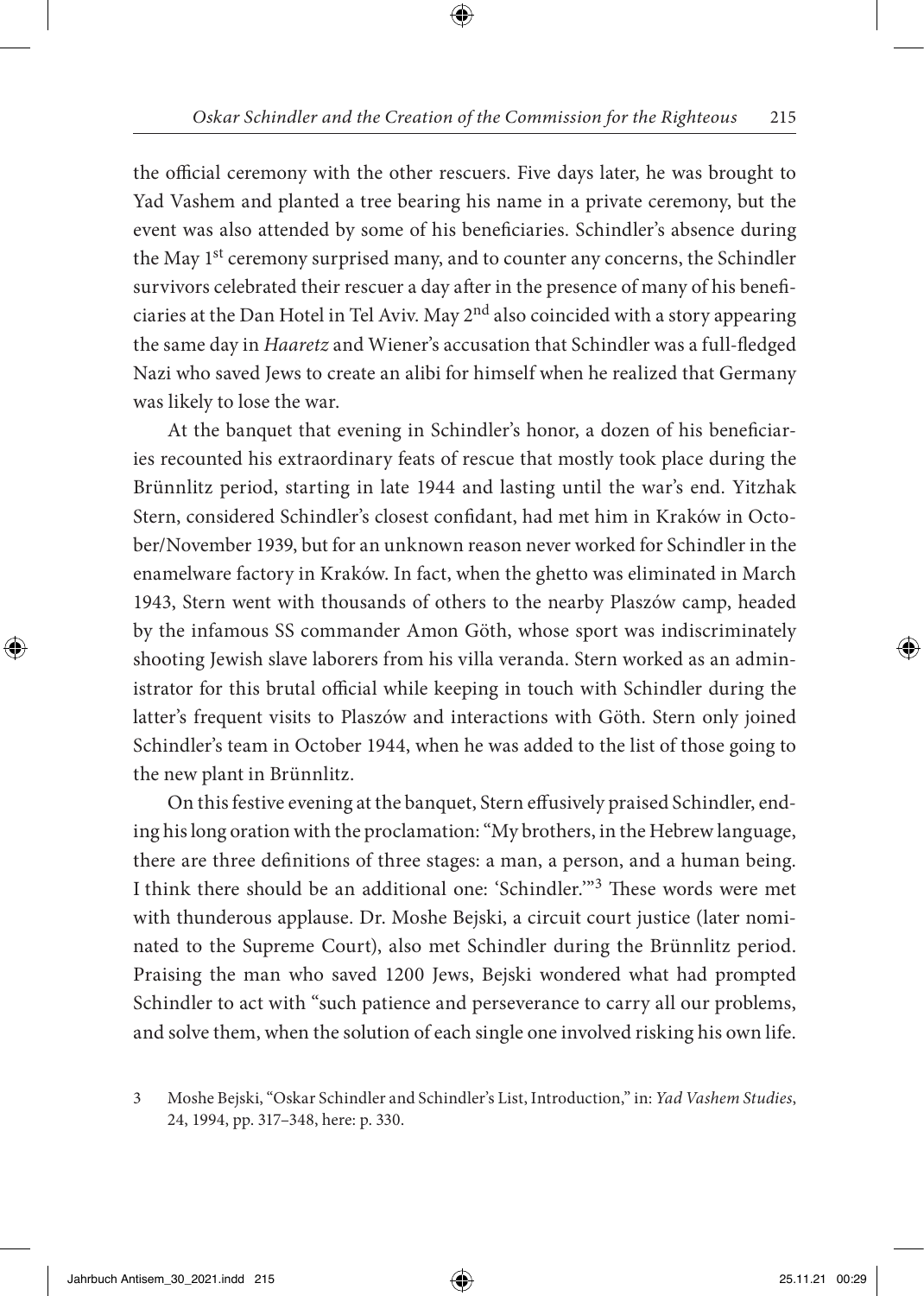the official ceremony with the other rescuers. Five days later, he was brought to Yad Vashem and planted a tree bearing his name in a private ceremony, but the event was also attended by some of his beneficiaries. Schindler's absence during the May 1<sup>st</sup> ceremony surprised many, and to counter any concerns, the Schindler survivors celebrated their rescuer a day after in the presence of many of his beneficiaries at the Dan Hotel in Tel Aviv. May  $2<sup>nd</sup>$  also coincided with a story appearing the same day in *Haaretz* and Wiener's accusation that Schindler was a full-fledged Nazi who saved Jews to create an alibi for himself when he realized that Germany was likely to lose the war.

At the banquet that evening in Schindler's honor, a dozen of his beneficiaries recounted his extraordinary feats of rescue that mostly took place during the Brünnlitz period, starting in late 1944 and lasting until the war's end. Yitzhak Stern, considered Schindler's closest confidant, had met him in Kraków in October/November 1939, but for an unknown reason never worked for Schindler in the enamelware factory in Kraków. In fact, when the ghetto was eliminated in March 1943, Stern went with thousands of others to the nearby Plaszów camp, headed by the infamous SS commander Amon Göth, whose sport was indiscriminately shooting Jewish slave laborers from his villa veranda. Stern worked as an administrator for this brutal official while keeping in touch with Schindler during the latter's frequent visits to Plaszów and interactions with Göth. Stern only joined Schindler's team in October 1944, when he was added to the list of those going to the new plant in Brünnlitz.

On this festive evening at the banquet, Stern effusively praised Schindler, ending his long oration with the proclamation: "My brothers, in the Hebrew language, there are three definitions of three stages: a man, a person, and a human being. I think there should be an additional one: 'Schindler.'"3 These words were met with thunderous applause. Dr. Moshe Bejski, a circuit court justice (later nominated to the Supreme Court), also met Schindler during the Brünnlitz period. Praising the man who saved 1200 Jews, Bejski wondered what had prompted Schindler to act with "such patience and perseverance to carry all our problems, and solve them, when the solution of each single one involved risking his own life.

<sup>3</sup> Moshe Bejski, "Oskar Schindler and Schindler's List, Introduction," in: *Yad Vashem Studies*, 24, 1994, pp. 317–348, here: p. 330.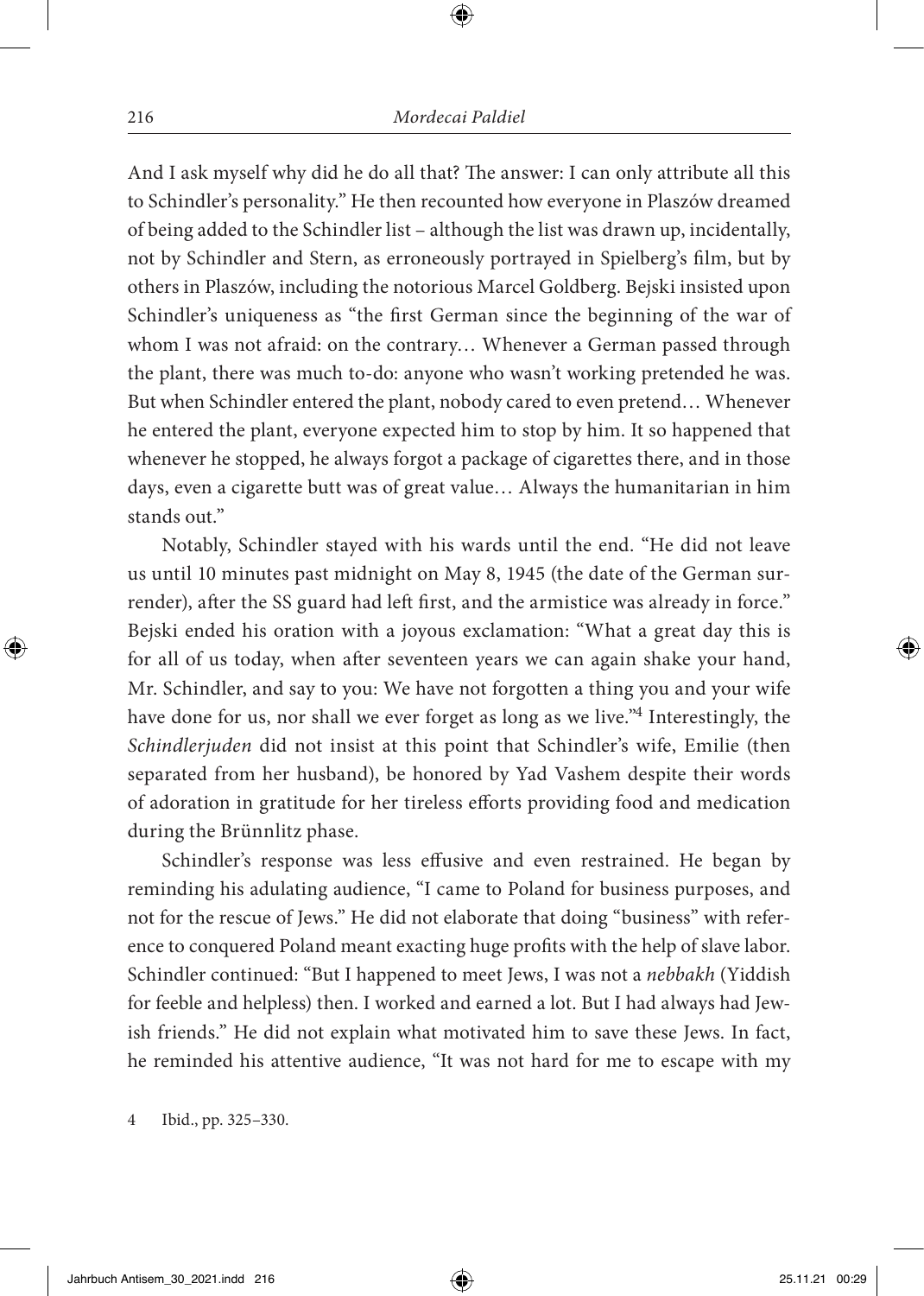And I ask myself why did he do all that? The answer: I can only attribute all this to Schindler's personality." He then recounted how everyone in Plaszów dreamed of being added to the Schindler list – although the list was drawn up, incidentally, not by Schindler and Stern, as erroneously portrayed in Spielberg's film, but by others in Plaszów, including the notorious Marcel Goldberg. Bejski insisted upon Schindler's uniqueness as "the first German since the beginning of the war of whom I was not afraid: on the contrary… Whenever a German passed through the plant, there was much to-do: anyone who wasn't working pretended he was. But when Schindler entered the plant, nobody cared to even pretend… Whenever he entered the plant, everyone expected him to stop by him. It so happened that whenever he stopped, he always forgot a package of cigarettes there, and in those days, even a cigarette butt was of great value… Always the humanitarian in him stands out."

Notably, Schindler stayed with his wards until the end. "He did not leave us until 10 minutes past midnight on May 8, 1945 (the date of the German surrender), after the SS guard had left first, and the armistice was already in force." Bejski ended his oration with a joyous exclamation: "What a great day this is for all of us today, when after seventeen years we can again shake your hand, Mr. Schindler, and say to you: We have not forgotten a thing you and your wife have done for us, nor shall we ever forget as long as we live."4 Interestingly, the *Schindlerjuden* did not insist at this point that Schindler's wife, Emilie (then separated from her husband), be honored by Yad Vashem despite their words of adoration in gratitude for her tireless efforts providing food and medication during the Brünnlitz phase.

Schindler's response was less effusive and even restrained. He began by reminding his adulating audience, "I came to Poland for business purposes, and not for the rescue of Jews." He did not elaborate that doing "business" with reference to conquered Poland meant exacting huge profits with the help of slave labor. Schindler continued: "But I happened to meet Jews, I was not a *nebbakh* (Yiddish for feeble and helpless) then. I worked and earned a lot. But I had always had Jewish friends." He did not explain what motivated him to save these Jews. In fact, he reminded his attentive audience, "It was not hard for me to escape with my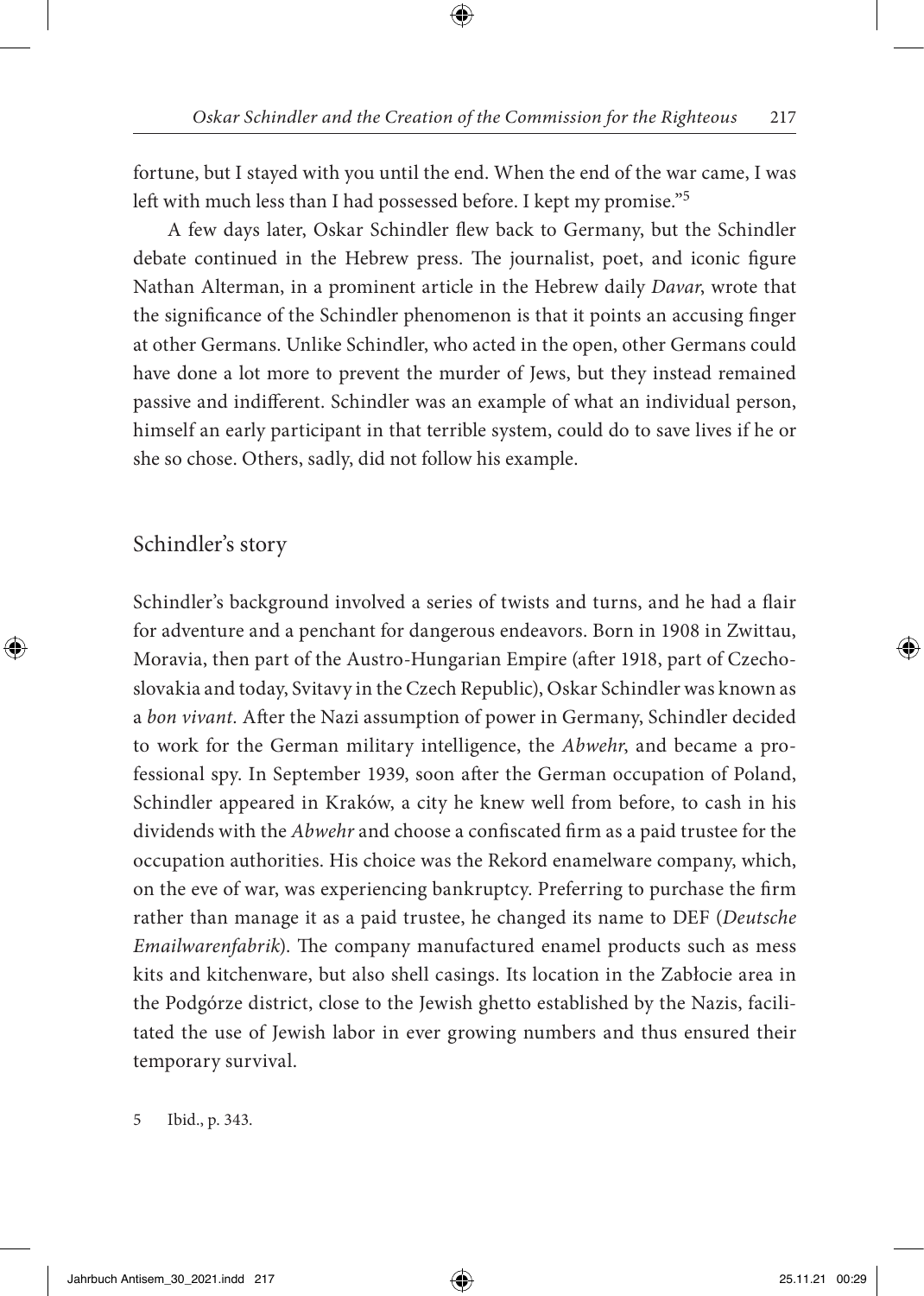fortune, but I stayed with you until the end. When the end of the war came, I was left with much less than I had possessed before. I kept my promise."5

A few days later, Oskar Schindler flew back to Germany, but the Schindler debate continued in the Hebrew press. The journalist, poet, and iconic figure Nathan Alterman, in a prominent article in the Hebrew daily *Davar*, wrote that the significance of the Schindler phenomenon is that it points an accusing finger at other Germans. Unlike Schindler, who acted in the open, other Germans could have done a lot more to prevent the murder of Jews, but they instead remained passive and indifferent. Schindler was an example of what an individual person, himself an early participant in that terrible system, could do to save lives if he or she so chose. Others, sadly, did not follow his example.

#### Schindler's story

Schindler's background involved a series of twists and turns, and he had a flair for adventure and a penchant for dangerous endeavors. Born in 1908 in Zwittau, Moravia, then part of the Austro-Hungarian Empire (after 1918, part of Czechoslovakia and today, Svitavy in the Czech Republic), Oskar Schindler was known as a *bon vivant.* After the Nazi assumption of power in Germany, Schindler decided to work for the German military intelligence, the *Abwehr*, and became a professional spy. In September 1939, soon after the German occupation of Poland, Schindler appeared in Kraków, a city he knew well from before, to cash in his dividends with the *Abwehr* and choose a confiscated firm as a paid trustee for the occupation authorities. His choice was the Rekord enamelware company, which, on the eve of war, was experiencing bankruptcy. Preferring to purchase the firm rather than manage it as a paid trustee, he changed its name to DEF (*Deutsche Emailwarenfabrik*). The company manufactured enamel products such as mess kits and kitchenware, but also shell casings. Its location in the Zabłocie area in the Podgórze district, close to the Jewish ghetto established by the Nazis, facilitated the use of Jewish labor in ever growing numbers and thus ensured their temporary survival.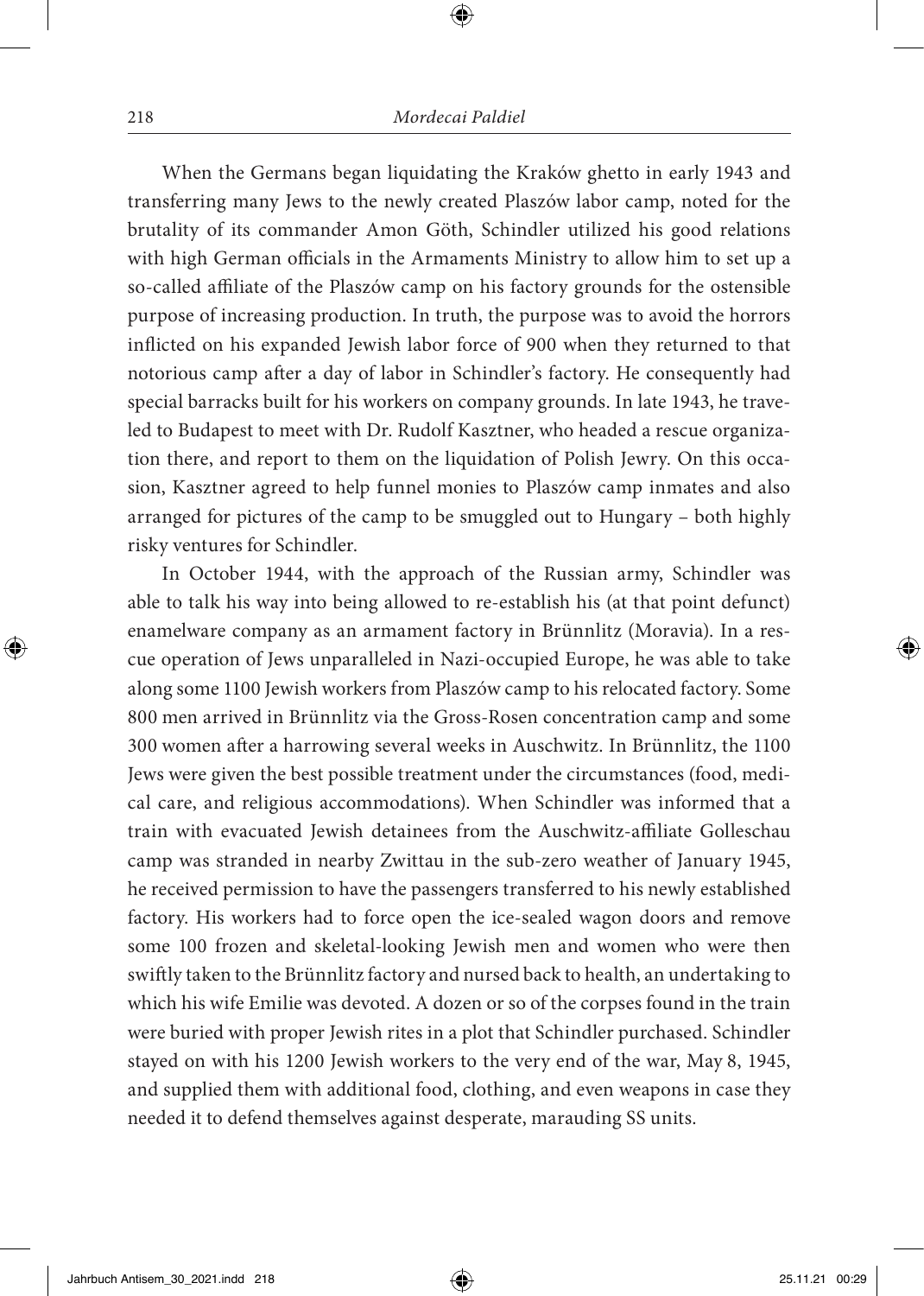When the Germans began liquidating the Kraków ghetto in early 1943 and transferring many Jews to the newly created Plaszów labor camp, noted for the brutality of its commander Amon Göth, Schindler utilized his good relations with high German officials in the Armaments Ministry to allow him to set up a so-called affiliate of the Plaszów camp on his factory grounds for the ostensible purpose of increasing production. In truth, the purpose was to avoid the horrors inflicted on his expanded Jewish labor force of 900 when they returned to that notorious camp after a day of labor in Schindler's factory. He consequently had special barracks built for his workers on company grounds. In late 1943, he traveled to Budapest to meet with Dr. Rudolf Kasztner, who headed a rescue organization there, and report to them on the liquidation of Polish Jewry. On this occasion, Kasztner agreed to help funnel monies to Plaszów camp inmates and also arranged for pictures of the camp to be smuggled out to Hungary – both highly risky ventures for Schindler.

In October 1944, with the approach of the Russian army, Schindler was able to talk his way into being allowed to re-establish his (at that point defunct) enamelware company as an armament factory in Brünnlitz (Moravia). In a rescue operation of Jews unparalleled in Nazi-occupied Europe, he was able to take along some 1100 Jewish workers from Plaszów camp to his relocated factory. Some 800 men arrived in Brünnlitz via the Gross-Rosen concentration camp and some 300 women after a harrowing several weeks in Auschwitz. In Brünnlitz, the 1100 Jews were given the best possible treatment under the circumstances (food, medical care, and religious accommodations). When Schindler was informed that a train with evacuated Jewish detainees from the Auschwitz-affiliate Golleschau camp was stranded in nearby Zwittau in the sub-zero weather of January 1945, he received permission to have the passengers transferred to his newly established factory. His workers had to force open the ice-sealed wagon doors and remove some 100 frozen and skeletal-looking Jewish men and women who were then swiftly taken to the Brünnlitz factory and nursed back to health, an undertaking to which his wife Emilie was devoted. A dozen or so of the corpses found in the train were buried with proper Jewish rites in a plot that Schindler purchased. Schindler stayed on with his 1200 Jewish workers to the very end of the war, May 8, 1945, and supplied them with additional food, clothing, and even weapons in case they needed it to defend themselves against desperate, marauding SS units.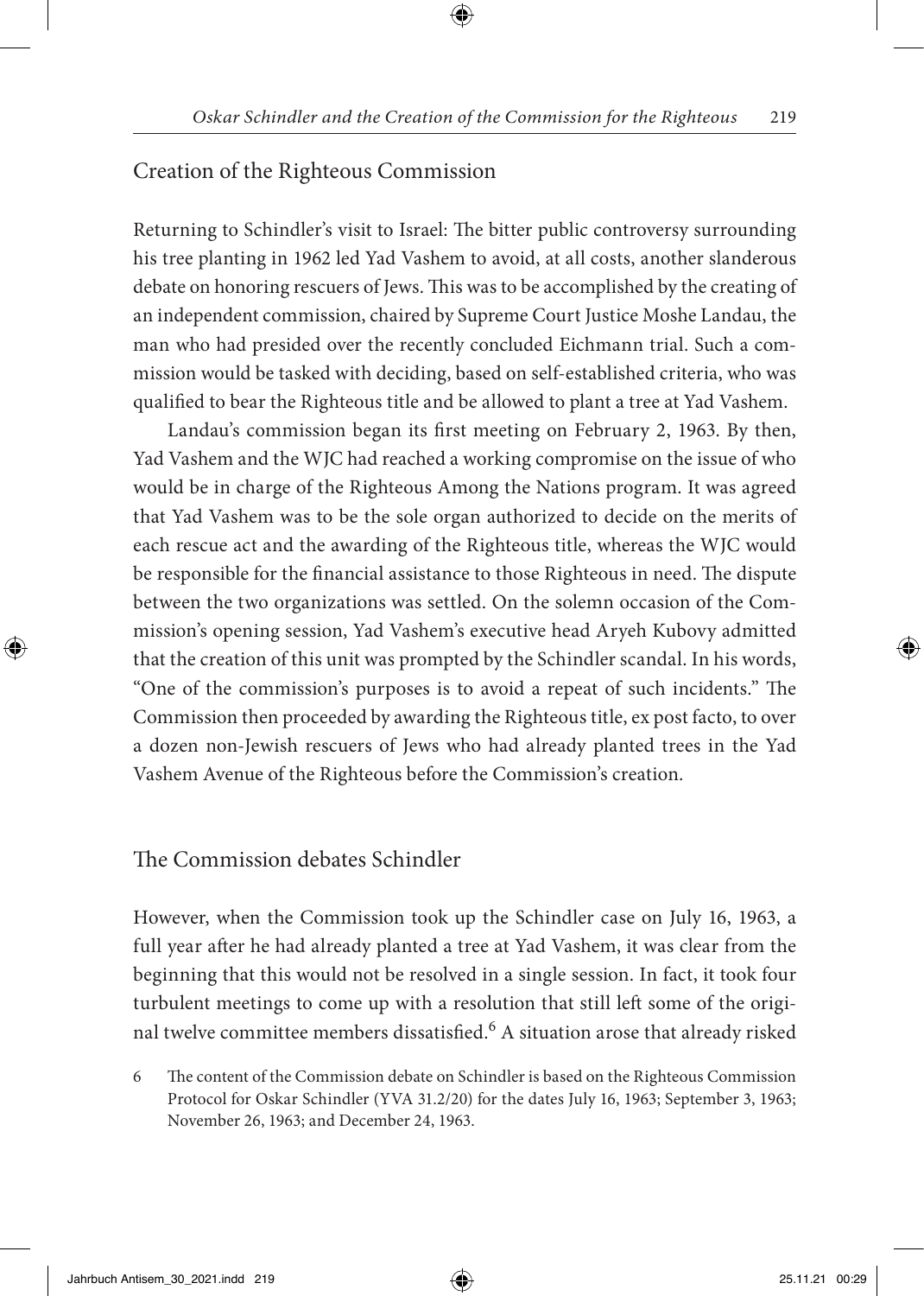#### Creation of the Righteous Commission

Returning to Schindler's visit to Israel: The bitter public controversy surrounding his tree planting in 1962 led Yad Vashem to avoid, at all costs, another slanderous debate on honoring rescuers of Jews. This was to be accomplished by the creating of an independent commission, chaired by Supreme Court Justice Moshe Landau, the man who had presided over the recently concluded Eichmann trial. Such a commission would be tasked with deciding, based on self-established criteria, who was qualified to bear the Righteous title and be allowed to plant a tree at Yad Vashem.

Landau's commission began its first meeting on February 2, 1963. By then, Yad Vashem and the WJC had reached a working compromise on the issue of who would be in charge of the Righteous Among the Nations program. It was agreed that Yad Vashem was to be the sole organ authorized to decide on the merits of each rescue act and the awarding of the Righteous title, whereas the WJC would be responsible for the financial assistance to those Righteous in need. The dispute between the two organizations was settled. On the solemn occasion of the Commission's opening session, Yad Vashem's executive head Aryeh Kubovy admitted that the creation of this unit was prompted by the Schindler scandal. In his words, "One of the commission's purposes is to avoid a repeat of such incidents." The Commission then proceeded by awarding the Righteous title, ex post facto, to over a dozen non-Jewish rescuers of Jews who had already planted trees in the Yad Vashem Avenue of the Righteous before the Commission's creation.

#### The Commission debates Schindler

However, when the Commission took up the Schindler case on July 16, 1963, a full year after he had already planted a tree at Yad Vashem, it was clear from the beginning that this would not be resolved in a single session. In fact, it took four turbulent meetings to come up with a resolution that still left some of the original twelve committee members dissatisfied.<sup>6</sup> A situation arose that already risked

6 The content of the Commission debate on Schindler is based on the Righteous Commission Protocol for Oskar Schindler (YVA 31.2/20) for the dates July 16, 1963; September 3, 1963; November 26, 1963; and December 24, 1963.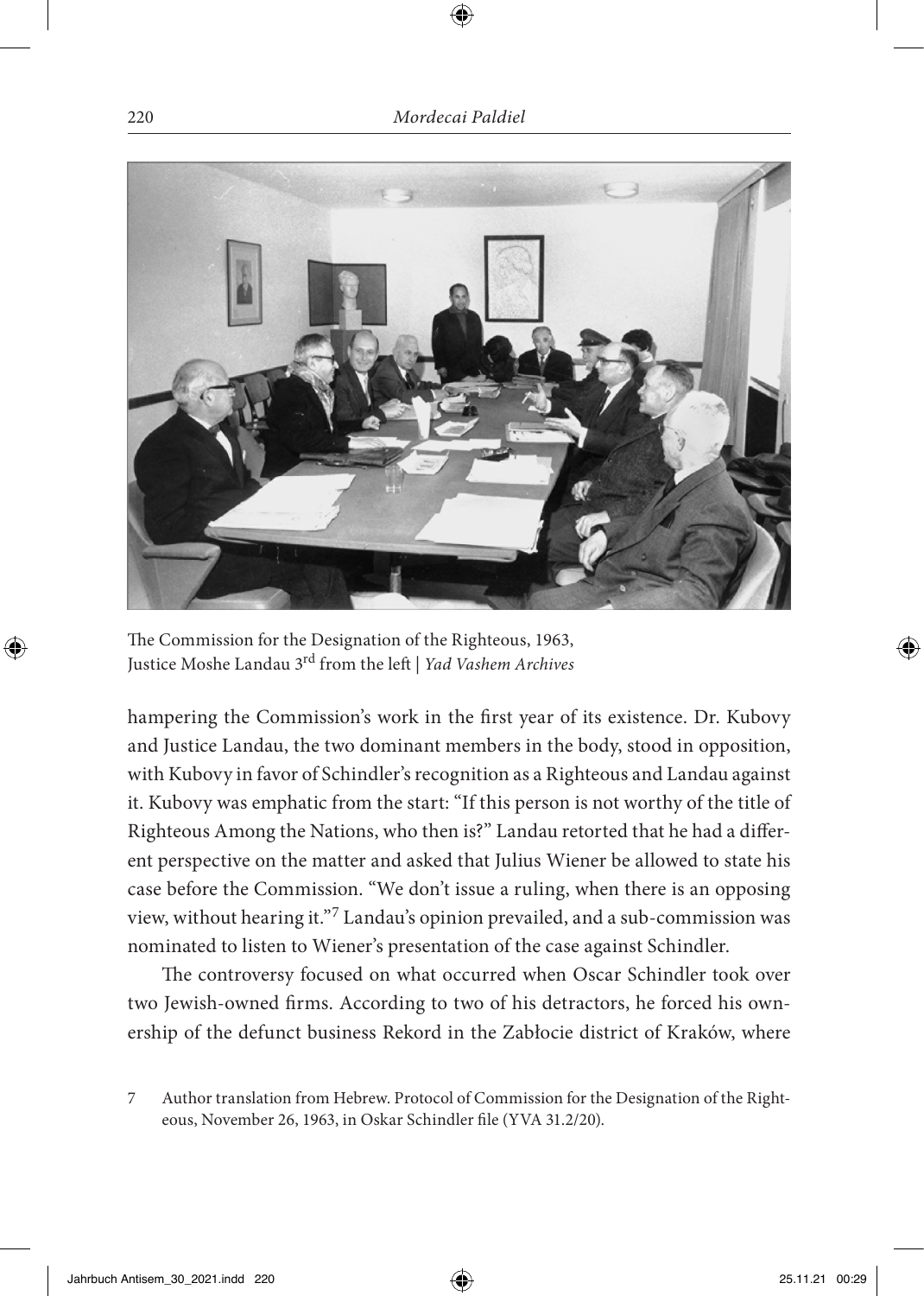

The Commission for the Designation of the Righteous, 1963, Justice Moshe Landau 3rd from the left | *Yad Vashem Archives*

hampering the Commission's work in the first year of its existence. Dr. Kubovy and Justice Landau, the two dominant members in the body, stood in opposition, with Kubovy in favor of Schindler's recognition as a Righteous and Landau against it. Kubovy was emphatic from the start: "If this person is not worthy of the title of Righteous Among the Nations, who then is?" Landau retorted that he had a different perspective on the matter and asked that Julius Wiener be allowed to state his case before the Commission. "We don't issue a ruling, when there is an opposing view, without hearing it."7 Landau's opinion prevailed, and a sub-commission was nominated to listen to Wiener's presentation of the case against Schindler.

The controversy focused on what occurred when Oscar Schindler took over two Jewish-owned firms. According to two of his detractors, he forced his ownership of the defunct business Rekord in the Zabłocie district of Kraków, where

<sup>7</sup> Author translation from Hebrew. Protocol of Commission for the Designation of the Righteous, November 26, 1963, in Oskar Schindler file (YVA 31.2/20).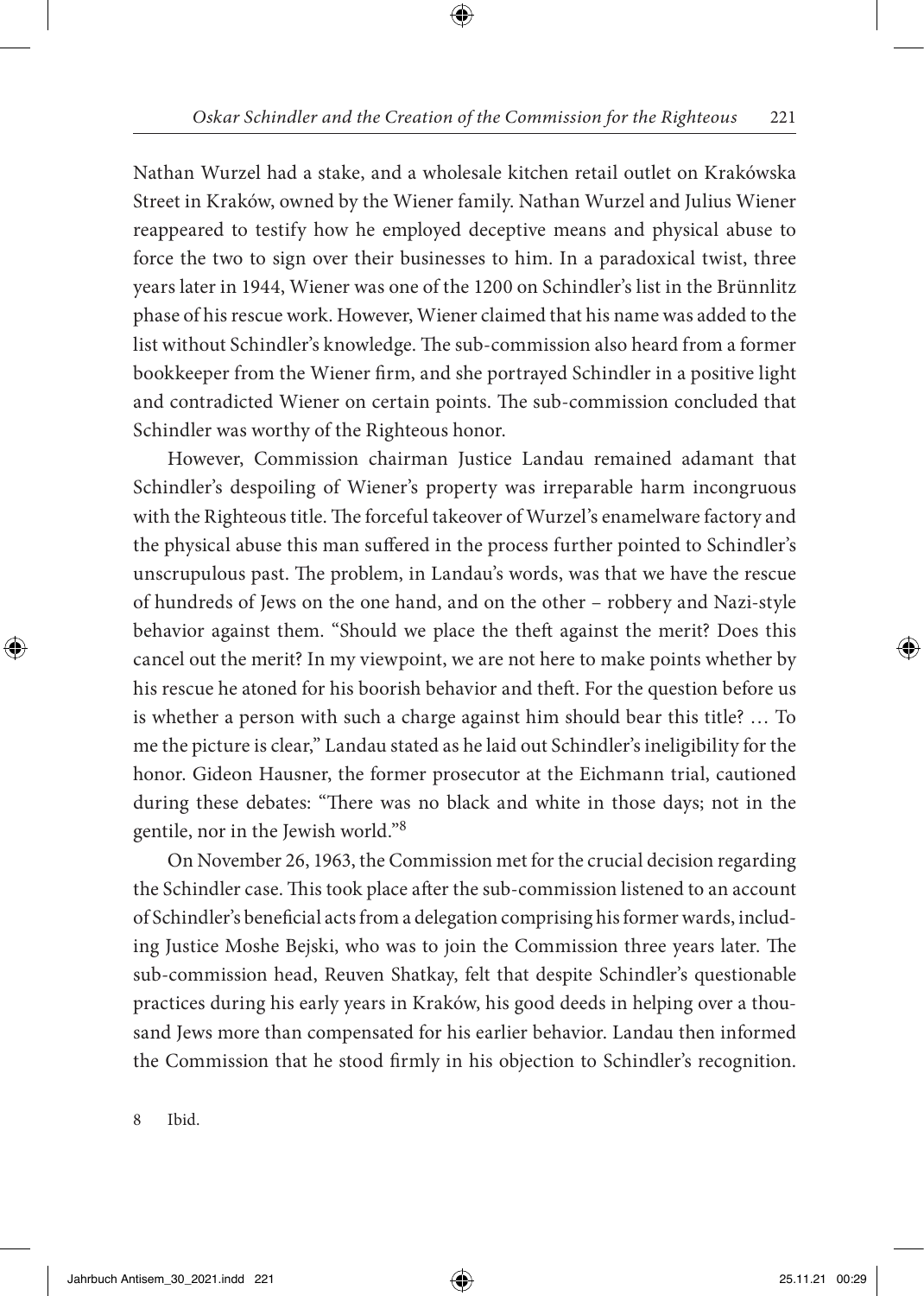Nathan Wurzel had a stake, and a wholesale kitchen retail outlet on Krakówska Street in Kraków, owned by the Wiener family. Nathan Wurzel and Julius Wiener reappeared to testify how he employed deceptive means and physical abuse to force the two to sign over their businesses to him. In a paradoxical twist, three years later in 1944, Wiener was one of the 1200 on Schindler's list in the Brünnlitz phase of his rescue work. However, Wiener claimed that his name was added to the list without Schindler's knowledge. The sub-commission also heard from a former bookkeeper from the Wiener firm, and she portrayed Schindler in a positive light and contradicted Wiener on certain points. The sub-commission concluded that Schindler was worthy of the Righteous honor.

However, Commission chairman Justice Landau remained adamant that Schindler's despoiling of Wiener's property was irreparable harm incongruous with the Righteous title. The forceful takeover of Wurzel's enamelware factory and the physical abuse this man suffered in the process further pointed to Schindler's unscrupulous past. The problem, in Landau's words, was that we have the rescue of hundreds of Jews on the one hand, and on the other – robbery and Nazi-style behavior against them. "Should we place the theft against the merit? Does this cancel out the merit? In my viewpoint, we are not here to make points whether by his rescue he atoned for his boorish behavior and theft. For the question before us is whether a person with such a charge against him should bear this title? … To me the picture is clear," Landau stated as he laid out Schindler's ineligibility for the honor. Gideon Hausner, the former prosecutor at the Eichmann trial, cautioned during these debates: "There was no black and white in those days; not in the gentile, nor in the Jewish world."<sup>8</sup>

On November 26, 1963, the Commission met for the crucial decision regarding the Schindler case. This took place after the sub-commission listened to an account of Schindler's beneficial acts from a delegation comprising his former wards, including Justice Moshe Bejski, who was to join the Commission three years later. The sub-commission head, Reuven Shatkay, felt that despite Schindler's questionable practices during his early years in Kraków, his good deeds in helping over a thousand Jews more than compensated for his earlier behavior. Landau then informed the Commission that he stood firmly in his objection to Schindler's recognition.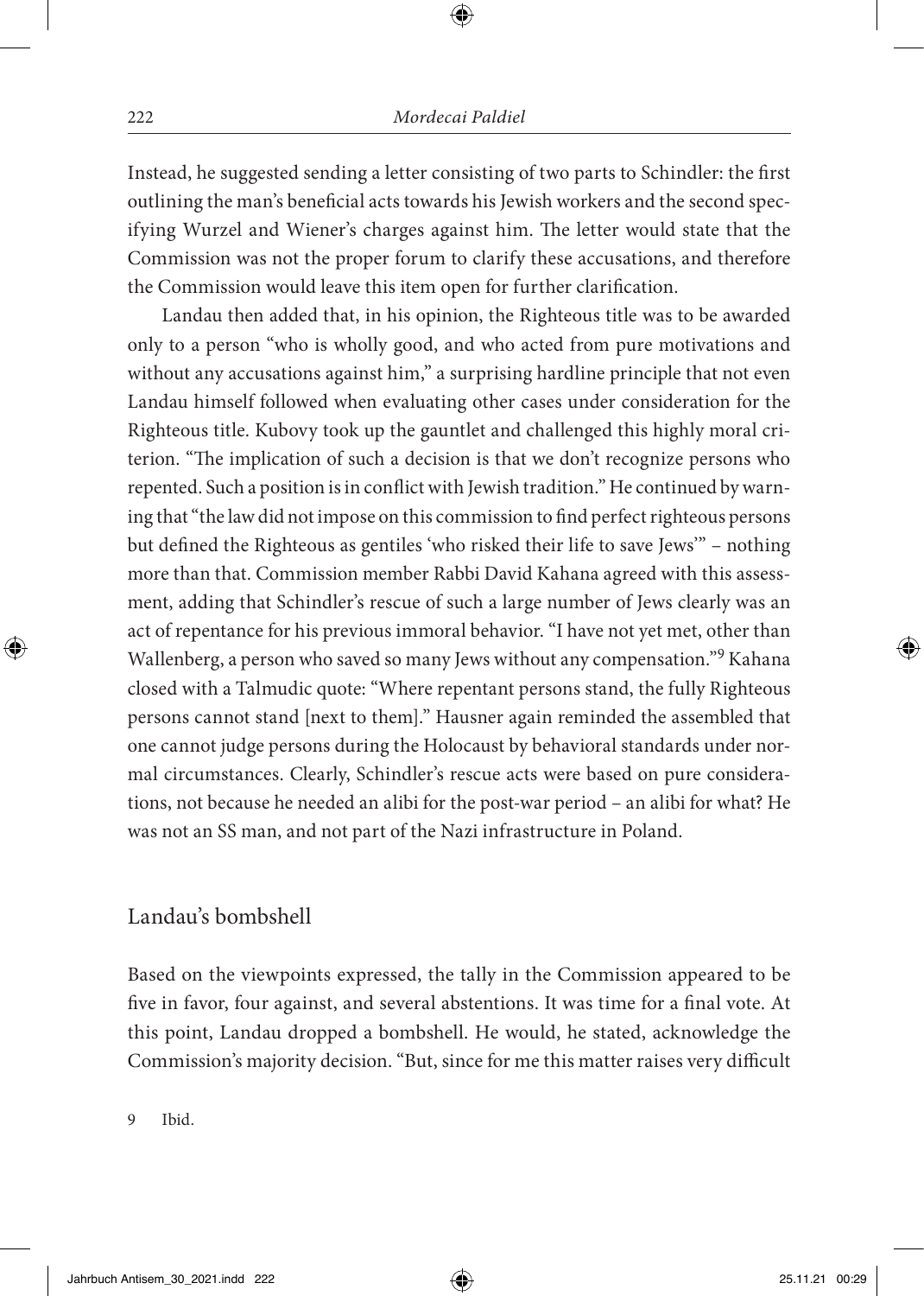Instead, he suggested sending a letter consisting of two parts to Schindler: the first outlining the man's beneficial acts towards his Jewish workers and the second specifying Wurzel and Wiener's charges against him. The letter would state that the Commission was not the proper forum to clarify these accusations, and therefore the Commission would leave this item open for further clarification.

Landau then added that, in his opinion, the Righteous title was to be awarded only to a person "who is wholly good, and who acted from pure motivations and without any accusations against him," a surprising hardline principle that not even Landau himself followed when evaluating other cases under consideration for the Righteous title. Kubovy took up the gauntlet and challenged this highly moral criterion. "The implication of such a decision is that we don't recognize persons who repented. Such a position is in conflict with Jewish tradition." He continued by warning that "the law did not impose on this commission to find perfect righteous persons but defined the Righteous as gentiles 'who risked their life to save Jews'" – nothing more than that. Commission member Rabbi David Kahana agreed with this assessment, adding that Schindler's rescue of such a large number of Jews clearly was an act of repentance for his previous immoral behavior. "I have not yet met, other than Wallenberg, a person who saved so many Jews without any compensation."9 Kahana closed with a Talmudic quote: "Where repentant persons stand, the fully Righteous persons cannot stand [next to them]." Hausner again reminded the assembled that one cannot judge persons during the Holocaust by behavioral standards under normal circumstances. Clearly, Schindler's rescue acts were based on pure considerations, not because he needed an alibi for the post-war period – an alibi for what? He was not an SS man, and not part of the Nazi infrastructure in Poland.

#### Landau's bombshell

Based on the viewpoints expressed, the tally in the Commission appeared to be five in favor, four against, and several abstentions. It was time for a final vote. At this point, Landau dropped a bombshell. He would, he stated, acknowledge the Commission's majority decision. "But, since for me this matter raises very difficult

9 Ibid.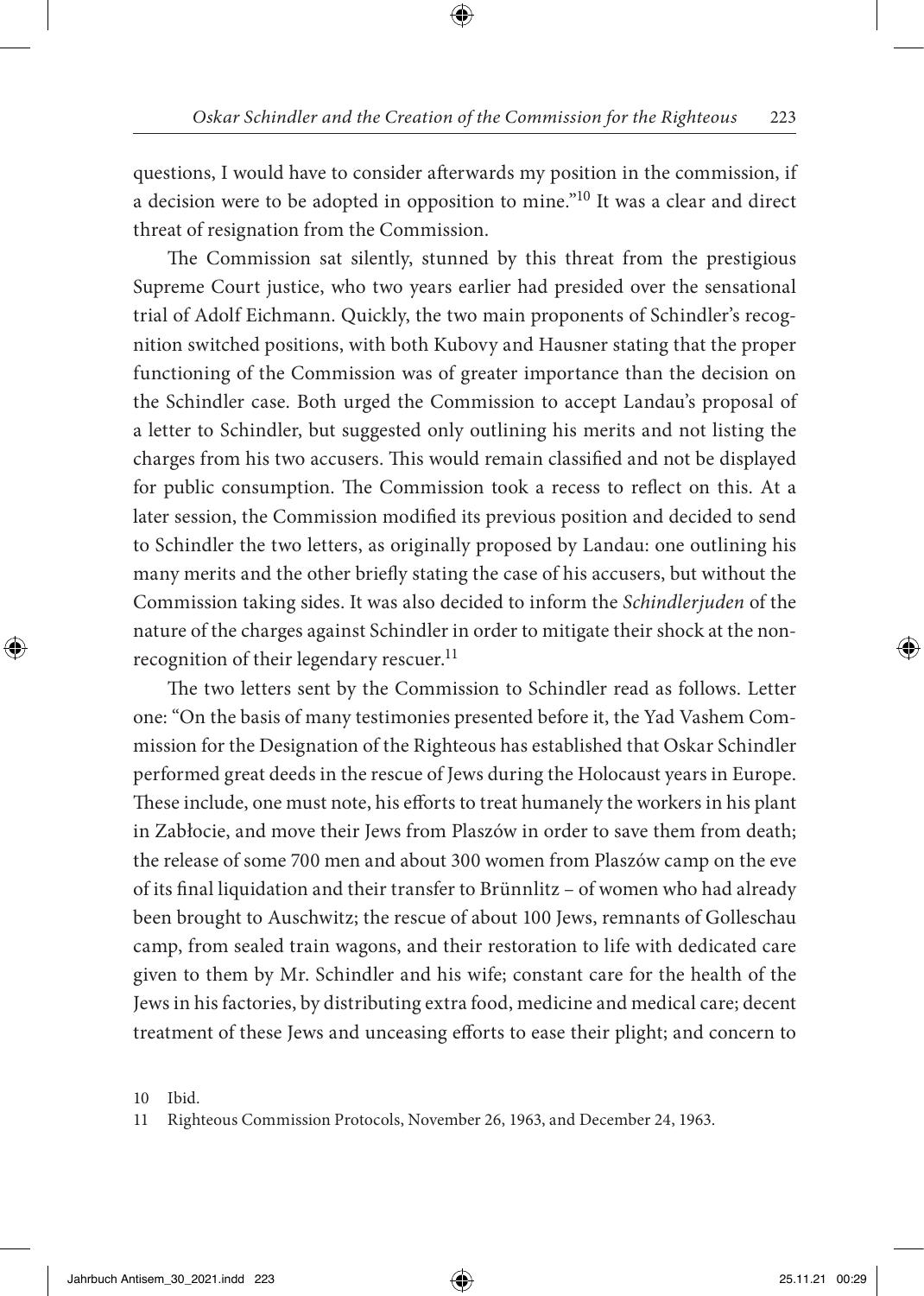questions, I would have to consider afterwards my position in the commission, if a decision were to be adopted in opposition to mine."10 It was a clear and direct threat of resignation from the Commission.

The Commission sat silently, stunned by this threat from the prestigious Supreme Court justice, who two years earlier had presided over the sensational trial of Adolf Eichmann. Quickly, the two main proponents of Schindler's recognition switched positions, with both Kubovy and Hausner stating that the proper functioning of the Commission was of greater importance than the decision on the Schindler case. Both urged the Commission to accept Landau's proposal of a letter to Schindler, but suggested only outlining his merits and not listing the charges from his two accusers. This would remain classified and not be displayed for public consumption. The Commission took a recess to reflect on this. At a later session, the Commission modified its previous position and decided to send to Schindler the two letters, as originally proposed by Landau: one outlining his many merits and the other briefly stating the case of his accusers, but without the Commission taking sides. It was also decided to inform the *Schindlerjuden* of the nature of the charges against Schindler in order to mitigate their shock at the nonrecognition of their legendary rescuer.<sup>11</sup>

The two letters sent by the Commission to Schindler read as follows. Letter one: "On the basis of many testimonies presented before it, the Yad Vashem Commission for the Designation of the Righteous has established that Oskar Schindler performed great deeds in the rescue of Jews during the Holocaust years in Europe. These include, one must note, his efforts to treat humanely the workers in his plant in Zabłocie, and move their Jews from Plaszów in order to save them from death; the release of some 700 men and about 300 women from Plaszów camp on the eve of its final liquidation and their transfer to Brünnlitz – of women who had already been brought to Auschwitz; the rescue of about 100 Jews, remnants of Golleschau camp, from sealed train wagons, and their restoration to life with dedicated care given to them by Mr. Schindler and his wife; constant care for the health of the Jews in his factories, by distributing extra food, medicine and medical care; decent treatment of these Jews and unceasing efforts to ease their plight; and concern to

<sup>10</sup> Ibid.

<sup>11</sup> Righteous Commission Protocols, November 26, 1963, and December 24, 1963.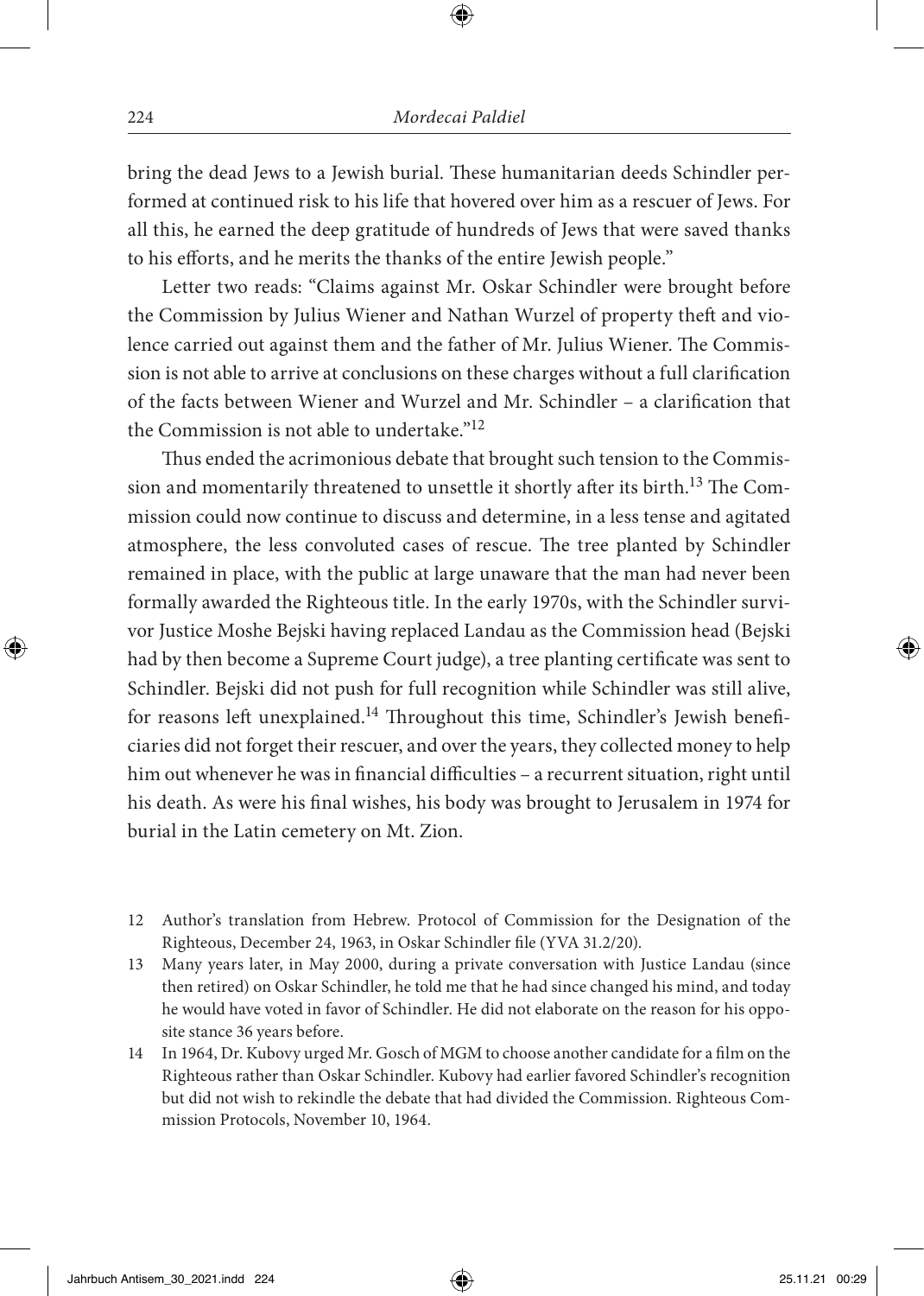bring the dead Jews to a Jewish burial. These humanitarian deeds Schindler performed at continued risk to his life that hovered over him as a rescuer of Jews. For all this, he earned the deep gratitude of hundreds of Jews that were saved thanks to his efforts, and he merits the thanks of the entire Jewish people."

Letter two reads: "Claims against Mr. Oskar Schindler were brought before the Commission by Julius Wiener and Nathan Wurzel of property theft and violence carried out against them and the father of Mr. Julius Wiener. The Commission is not able to arrive at conclusions on these charges without a full clarification of the facts between Wiener and Wurzel and Mr. Schindler – a clarification that the Commission is not able to undertake."12

Thus ended the acrimonious debate that brought such tension to the Commission and momentarily threatened to unsettle it shortly after its birth.<sup>13</sup> The Commission could now continue to discuss and determine, in a less tense and agitated atmosphere, the less convoluted cases of rescue. The tree planted by Schindler remained in place, with the public at large unaware that the man had never been formally awarded the Righteous title. In the early 1970s, with the Schindler survivor Justice Moshe Bejski having replaced Landau as the Commission head (Bejski had by then become a Supreme Court judge), a tree planting certificate was sent to Schindler. Bejski did not push for full recognition while Schindler was still alive, for reasons left unexplained.<sup>14</sup> Throughout this time, Schindler's Jewish beneficiaries did not forget their rescuer, and over the years, they collected money to help him out whenever he was in financial difficulties – a recurrent situation, right until his death. As were his final wishes, his body was brought to Jerusalem in 1974 for burial in the Latin cemetery on Mt. Zion.

- 12 Author's translation from Hebrew. Protocol of Commission for the Designation of the Righteous, December 24, 1963, in Oskar Schindler file (YVA 31.2/20).
- 13 Many years later, in May 2000, during a private conversation with Justice Landau (since then retired) on Oskar Schindler, he told me that he had since changed his mind, and today he would have voted in favor of Schindler. He did not elaborate on the reason for his opposite stance 36 years before.
- 14 In 1964, Dr. Kubovy urged Mr. Gosch of MGM to choose another candidate for a film on the Righteous rather than Oskar Schindler. Kubovy had earlier favored Schindler's recognition but did not wish to rekindle the debate that had divided the Commission. Righteous Commission Protocols, November 10, 1964.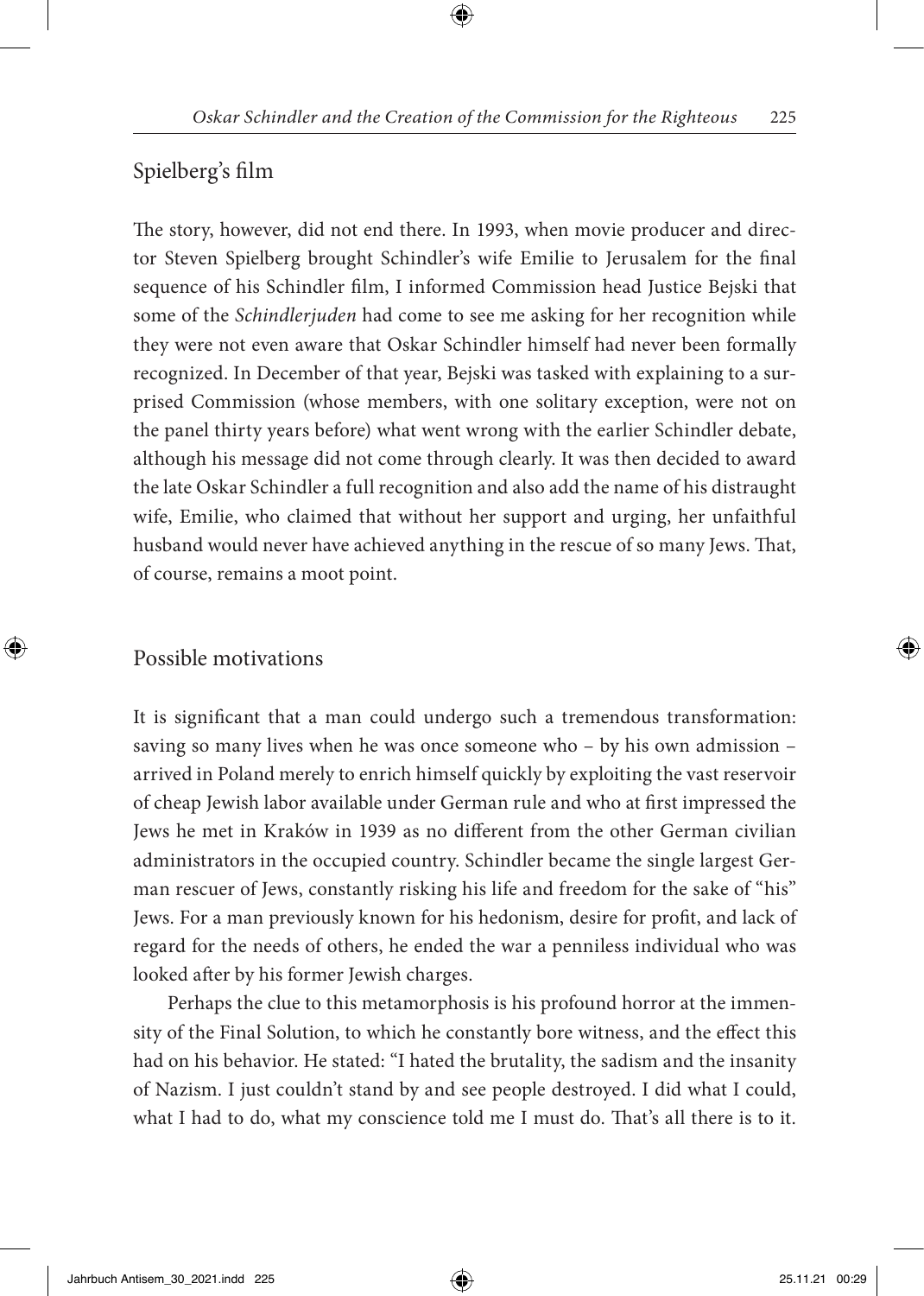### Spielberg's film

The story, however, did not end there. In 1993, when movie producer and director Steven Spielberg brought Schindler's wife Emilie to Jerusalem for the final sequence of his Schindler film, I informed Commission head Justice Bejski that some of the *Schindlerjuden* had come to see me asking for her recognition while they were not even aware that Oskar Schindler himself had never been formally recognized. In December of that year, Bejski was tasked with explaining to a surprised Commission (whose members, with one solitary exception, were not on the panel thirty years before) what went wrong with the earlier Schindler debate, although his message did not come through clearly. It was then decided to award the late Oskar Schindler a full recognition and also add the name of his distraught wife, Emilie, who claimed that without her support and urging, her unfaithful husband would never have achieved anything in the rescue of so many Jews. That, of course, remains a moot point.

#### Possible motivations

It is significant that a man could undergo such a tremendous transformation: saving so many lives when he was once someone who – by his own admission – arrived in Poland merely to enrich himself quickly by exploiting the vast reservoir of cheap Jewish labor available under German rule and who at first impressed the Jews he met in Kraków in 1939 as no different from the other German civilian administrators in the occupied country. Schindler became the single largest German rescuer of Jews, constantly risking his life and freedom for the sake of "his" Jews. For a man previously known for his hedonism, desire for profit, and lack of regard for the needs of others, he ended the war a penniless individual who was looked after by his former Jewish charges.

Perhaps the clue to this metamorphosis is his profound horror at the immensity of the Final Solution, to which he constantly bore witness, and the effect this had on his behavior. He stated: "I hated the brutality, the sadism and the insanity of Nazism. I just couldn't stand by and see people destroyed. I did what I could, what I had to do, what my conscience told me I must do. That's all there is to it.